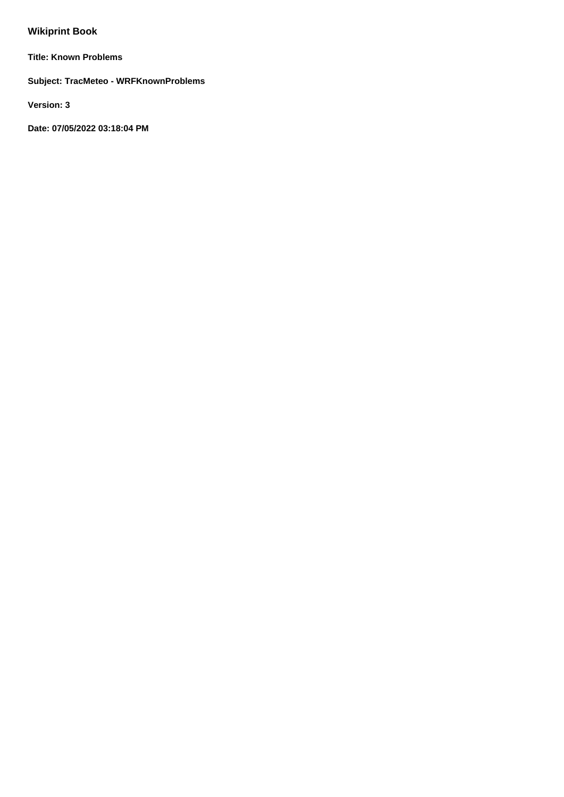# **Wikiprint Book**

**Title: Known Problems**

**Subject: TracMeteo - WRFKnownProblems**

**Version: 3**

**Date: 07/05/2022 03:18:04 PM**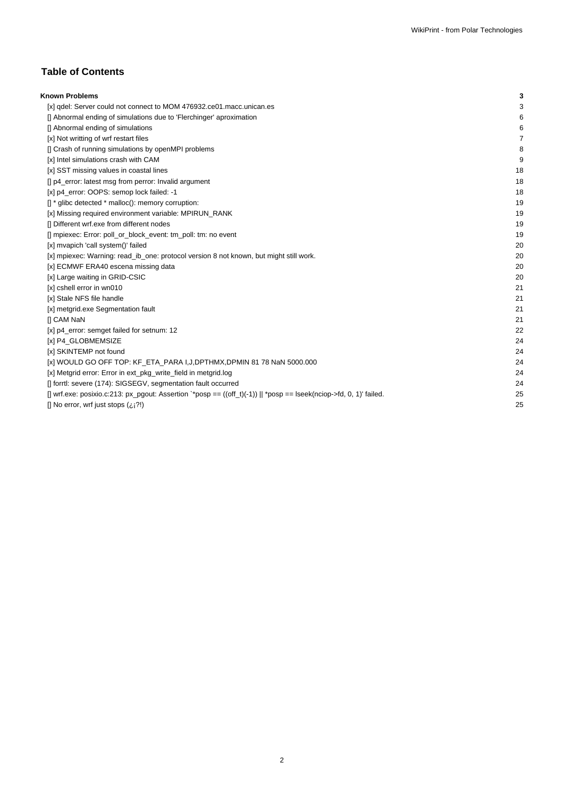# **Table of Contents**

| <b>Known Problems</b>                                                                                                | 3  |
|----------------------------------------------------------------------------------------------------------------------|----|
| [x] gdel: Server could not connect to MOM 476932.ce01.macc.unican.es                                                 | 3  |
| [] Abnormal ending of simulations due to 'Flerchinger' aproximation                                                  | 6  |
| [] Abnormal ending of simulations                                                                                    | 6  |
| [x] Not writting of wrf restart files                                                                                | 7  |
| [] Crash of running simulations by openMPI problems                                                                  | 8  |
| [x] Intel simulations crash with CAM                                                                                 | 9  |
| [x] SST missing values in coastal lines                                                                              | 18 |
| [] p4_error: latest msg from perror: Invalid argument                                                                | 18 |
| [x] p4_error: OOPS: semop lock failed: -1                                                                            | 18 |
| $\left[\right]$ * glibc detected * malloc(): memory corruption:                                                      | 19 |
| [x] Missing required environment variable: MPIRUN_RANK                                                               | 19 |
| [] Different wrf.exe from different nodes                                                                            | 19 |
| [] mpiexec: Error: poll_or_block_event: tm_poll: tm: no event                                                        | 19 |
| [x] mvapich 'call system()' failed                                                                                   | 20 |
| [x] mpiexec: Warning: read_ib_one: protocol version 8 not known, but might still work.                               | 20 |
| [x] ECMWF ERA40 escena missing data                                                                                  | 20 |
| [x] Large waiting in GRID-CSIC                                                                                       | 20 |
| [x] cshell error in wn010                                                                                            | 21 |
| [x] Stale NFS file handle                                                                                            | 21 |
| [x] metgrid.exe Segmentation fault                                                                                   | 21 |
| <b>II CAM NaN</b>                                                                                                    | 21 |
| [x] p4_error: semget failed for setnum: 12                                                                           | 22 |
| [x] P4 GLOBMEMSIZE                                                                                                   | 24 |
| [x] SKINTEMP not found                                                                                               | 24 |
| [x] WOULD GO OFF TOP: KF_ETA_PARA I,J,DPTHMX,DPMIN 81 78 NaN 5000.000                                                | 24 |
| [x] Metgrid error: Error in ext_pkg_write_field in metgrid.log                                                       | 24 |
| [] forrtl: severe (174): SIGSEGV, segmentation fault occurred                                                        | 24 |
| [] wrf.exe: posixio.c:213: px_pgout: Assertion `*posp == $((off_t)(-1))$    *posp == lseek(nciop->fd, 0, 1)' failed. | 25 |
| [] No error, wrf just stops $(i, j?)$                                                                                | 25 |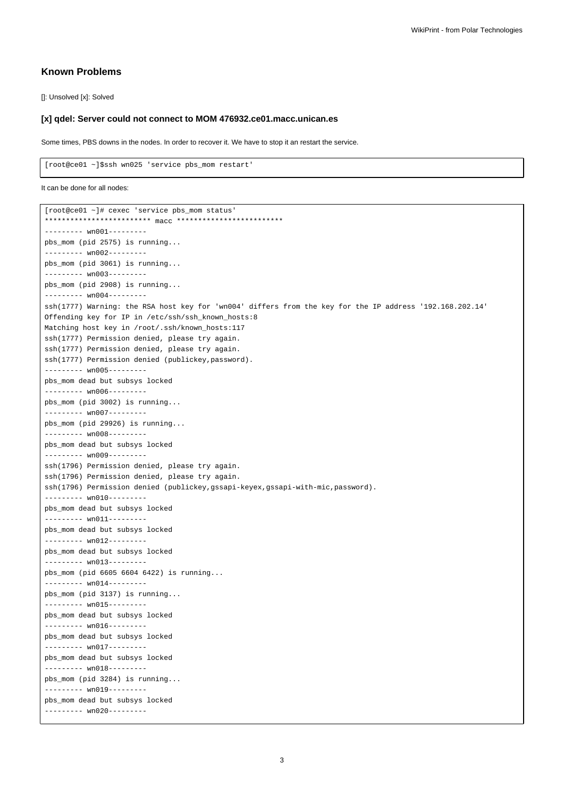## **Known Problems**

[]: Unsolved [x]: Solved

## **[x] qdel: Server could not connect to MOM 476932.ce01.macc.unican.es**

Some times, PBS downs in the nodes. In order to recover it. We have to stop it an restart the service.

[root@ce01 ~]\$ssh wn025 'service pbs\_mom restart'

```
It can be done for all nodes:
```

```
[root@ce01 ~]# cexec 'service pbs_mom status'
************************* macc *************************
--------- wn001---------
pbs_mom (pid 2575) is running...
--------- wn002---------
pbs_mom (pid 3061) is running...
--------- wn003---------
pbs_mom (pid 2908) is running...
------ wn004------ssh(1777) Warning: the RSA host key for 'wn004' differs from the key for the IP address '192.168.202.14'
Offending key for IP in /etc/ssh/ssh_known_hosts:8
Matching host key in /root/.ssh/known hosts:117
ssh(1777) Permission denied, please try again.
ssh(1777) Permission denied, please try again.
ssh(1777) Permission denied (publickey,password).
--------- wn005---------
pbs_mom dead but subsys locked
--------- wn006---------
pbs_mom (pid 3002) is running...
--------- wn007---------
pbs_mom (pid 29926) is running...
--------- wn008---------
pbs_mom dead but subsys locked
--------- wn009---------
ssh(1796) Permission denied, please try again.
ssh(1796) Permission denied, please try again.
ssh(1796) Permission denied (publickey,gssapi-keyex,gssapi-with-mic,password).
--------- wn010---------
pbs_mom dead but subsys locked
--------- wn011---------
pbs_mom dead but subsys locked
--------- wn012---------
pbs_mom dead but subsys locked
--------- wn013---------
pbs_mom (pid 6605 6604 6422) is running...
--------- wn014---------
pbs_mom (pid 3137) is running...
--------- wn015---------
pbs_mom dead but subsys locked
--------- wn016---------
pbs_mom dead but subsys locked
--------- wn017---------
pbs_mom dead but subsys locked
--------- wn018---------
pbs_mom (pid 3284) is running...
--------- wn019---------
pbs_mom dead but subsys locked
--------- wn020---------
```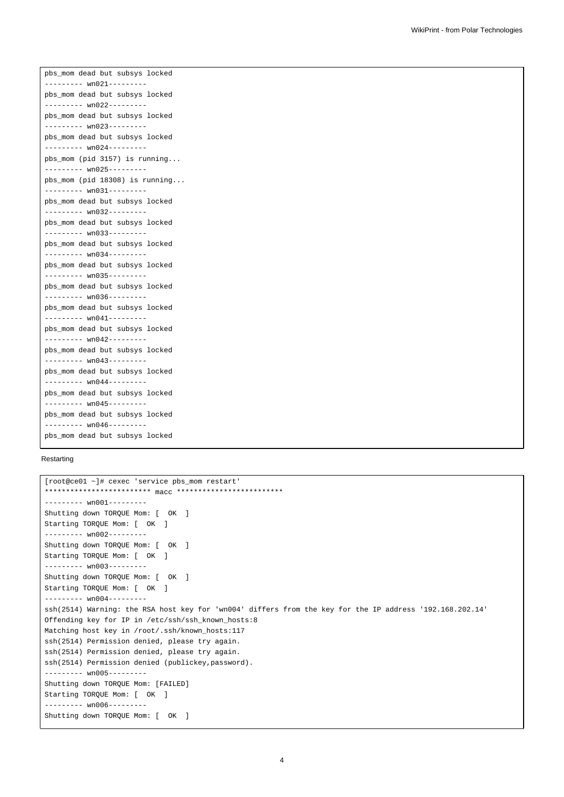pbs\_mom dead but subsys locked --------- wn021-------- pbs\_mom dead but subsys locked --------- wn022-------- pbs\_mom dead but subsys locked --------- wn023-------- pbs\_mom dead but subsys locked --------- wn024-------- pbs\_mom (pid 3157) is running... --------- wn025-------- pbs\_mom (pid 18308) is running... --------- wn031-------- pbs\_mom dead but subsys locked --------- wn032-------- pbs\_mom dead but subsys locked --------- wn033-------- pbs\_mom dead but subsys locked --------- wn034-------- pbs\_mom dead but subsys locked --------- wn035-------- pbs\_mom dead but subsys locked --------- wn036-------- pbs\_mom dead but subsys locked -------- wn041--------pbs\_mom dead but subsys locked --------- wn042-------- pbs\_mom dead but subsys locked --------- wn043-------- pbs\_mom dead but subsys locked --------- wn044-------- pbs\_mom dead but subsys locked --------- wn045-------- pbs\_mom dead but subsys locked --------- wn046-------- pbs\_mom dead but subsys locked

#### Restarting

```
[root@ce01 ~]# cexec 'service pbs_mom restart'
************************* macc *************************
--------- wn001---------
Shutting down TORQUE Mom: [ OK ]
Starting TORQUE Mom: [ OK ]
--------- wn002---------
Shutting down TORQUE Mom: [ OK ]
Starting TORQUE Mom: [ OK ]
--------- wn003---------
Shutting down TORQUE Mom: [ OK ]
Starting TORQUE Mom: [ OK ]
--------- wn004---------
ssh(2514) Warning: the RSA host key for 'wn004' differs from the key for the IP address '192.168.202.14'
Offending key for IP in /etc/ssh/ssh_known_hosts:8
Matching host key in /root/.ssh/known_hosts:117
ssh(2514) Permission denied, please try again.
ssh(2514) Permission denied, please try again.
ssh(2514) Permission denied (publickey,password).
--------- wn005---------
Shutting down TORQUE Mom: [FAILED]
Starting TORQUE Mom: [ OK ]
--------- wn006---------
Shutting down TORQUE Mom: [ OK ]
```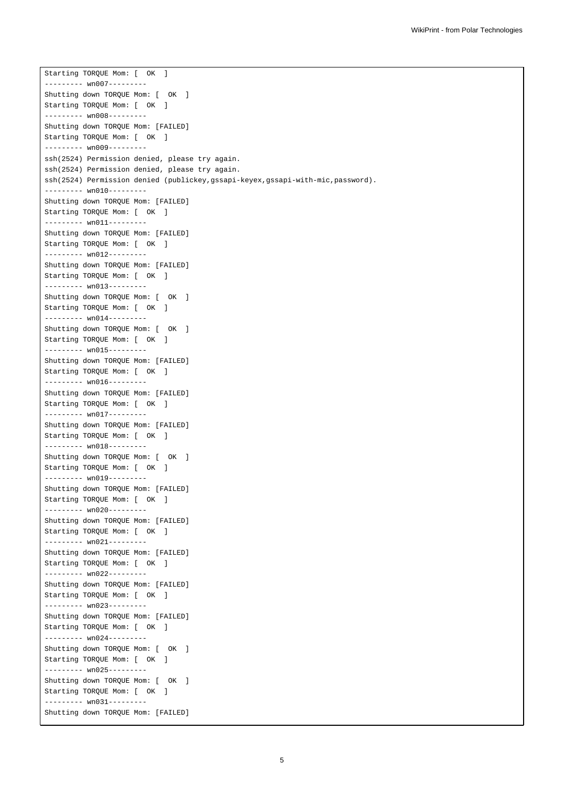Starting TORQUE Mom: [ OK ] -------- wn007-----Shutting down TORQUE Mom: [ OK ] Starting TORQUE Mom: [ OK ] --------- wn008--------- Shutting down TORQUE Mom: [FAILED] Starting TORQUE Mom: [ OK ] -------- wn009-------ssh(2524) Permission denied, please try again. ssh(2524) Permission denied, please try again. ssh(2524) Permission denied (publickey,gssapi-keyex,gssapi-with-mic,password). --------- wn010--------- Shutting down TORQUE Mom: [FAILED] Starting TORQUE Mom: [ OK ] --------- wn011--------- Shutting down TORQUE Mom: [FAILED] Starting TORQUE Mom: [ OK ] --------- wn012--------- Shutting down TORQUE Mom: [FAILED] Starting TORQUE Mom: [ OK ] --------- wn013--------- Shutting down TORQUE Mom: [ OK ] Starting TORQUE Mom: [ OK ] --------- wn014--------- Shutting down TORQUE Mom: [ OK ] Starting TORQUE Mom: [ OK ] --------- wn015--------- Shutting down TORQUE Mom: [FAILED] Starting TORQUE Mom: [ OK ] -------- wn016--------Shutting down TORQUE Mom: [FAILED] Starting TORQUE Mom: [ OK ] --------- wn017--------- Shutting down TORQUE Mom: [FAILED] Starting TORQUE Mom: [ OK ] --------- wn018--------- Shutting down TORQUE Mom: [ OK ] Starting TORQUE Mom: [ OK ] --------- wn019--------- Shutting down TORQUE Mom: [FAILED] Starting TORQUE Mom: [ OK ] -------- wn020---------Shutting down TORQUE Mom: [FAILED] Starting TORQUE Mom: [ OK ] --------- wn021--------- Shutting down TORQUE Mom: [FAILED] Starting TORQUE Mom: [ OK ] --------- wn022--------- Shutting down TORQUE Mom: [FAILED] Starting TORQUE Mom: [ OK ] --------- wn023--------- Shutting down TORQUE Mom: [FAILED] Starting TORQUE Mom: [ OK ] --------- wn024--------- Shutting down TORQUE Mom: [ OK ] Starting TORQUE Mom: [ OK ] --------- wn025--------- Shutting down TORQUE Mom: [ OK ] Starting TORQUE Mom: [ OK ] --------- wn031--------- Shutting down TORQUE Mom: [FAILED]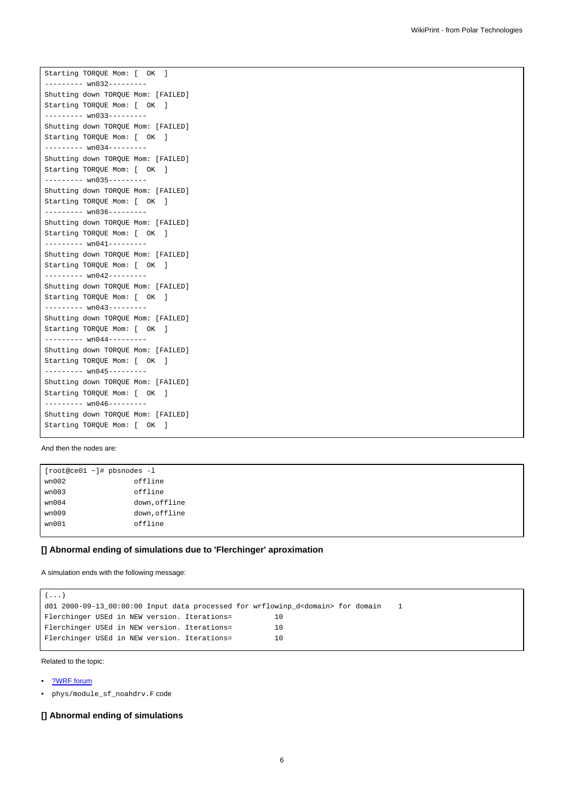Starting TORQUE Mom: [ OK ] ------- wn032-----Shutting down TORQUE Mom: [FAILED] Starting TORQUE Mom: [ OK ] --------- wn033--------- Shutting down TORQUE Mom: [FAILED] Starting TORQUE Mom: [ OK ] --------- wn034--------- Shutting down TORQUE Mom: [FAILED] Starting TORQUE Mom: [ OK ] --------- wn035--------- Shutting down TORQUE Mom: [FAILED] Starting TORQUE Mom: [ OK ] --------- wn036--------- Shutting down TORQUE Mom: [FAILED] Starting TORQUE Mom: [ OK ] --------- wn041--------- Shutting down TORQUE Mom: [FAILED] Starting TORQUE Mom: [ OK ] --------- wn042--------- Shutting down TORQUE Mom: [FAILED] Starting TORQUE Mom: [ OK ] --------- wn043--------- Shutting down TORQUE Mom: [FAILED] Starting TORQUE Mom: [ OK ] --------- wn044--------- Shutting down TORQUE Mom: [FAILED] Starting TORQUE Mom: [ OK ] --------- wn045--------- Shutting down TORQUE Mom: [FAILED] Starting TORQUE Mom: [ OK ]  $------$  wn046 --------Shutting down TORQUE Mom: [FAILED] Starting TORQUE Mom: [ OK ]

#### And then the nodes are:

[root@ce01 ~]# pbsnodes -l wn002 offline wn003 offline wn004 down, offline wn009 down,offline wn001 offline

#### **[] Abnormal ending of simulations due to 'Flerchinger' aproximation**

#### A simulation ends with the following message:

```
(\ldots)d01 2000-09-13_00:00:00 Input data processed for wrflowinp_d<domain> for domain 1
Flerchinger USEd in NEW version. Iterations= 10
Flerchinger USEd in NEW version. Iterations= 10
Flerchinger USEd in NEW version. Iterations= 10
```
Related to the topic:

- [?WRF forum](http://forum.wrfforum.com/viewtopic.php?f=6&t=2531)
- phys/module\_sf\_noahdrv.F code

## **[] Abnormal ending of simulations**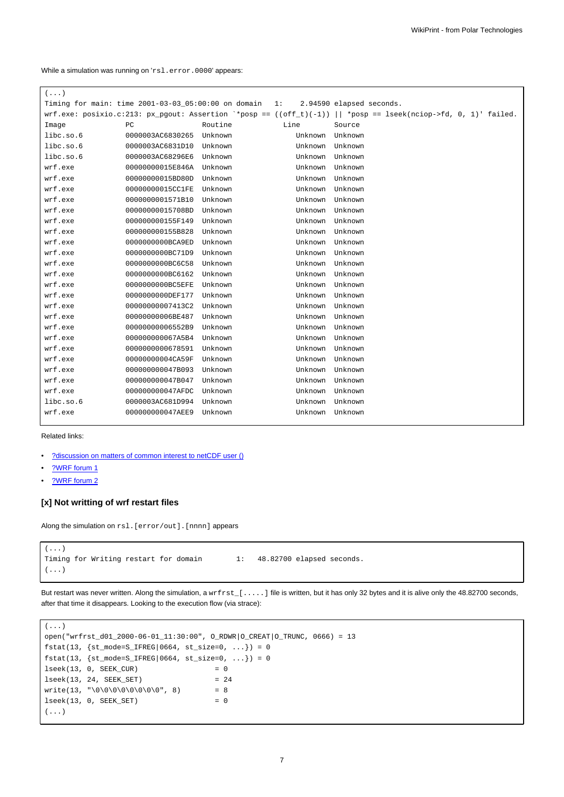While a simulation was running on 'rsl.error.0000' appears:

| $(\ldots)$ |                  |                                                                                 |         |                                                                                                                   |
|------------|------------------|---------------------------------------------------------------------------------|---------|-------------------------------------------------------------------------------------------------------------------|
|            |                  | Timing for main: time 2001-03-03_05:00:00 on domain 1: 2.94590 elapsed seconds. |         |                                                                                                                   |
|            |                  |                                                                                 |         | $wrf.exe: posixio.c:213: px\_pgout:iSsertion *oposp == ((off_t)(-1))    *posp == lseek(nciop->fd, 0, 1)' failed.$ |
| Image      | PC               | Routine                                                                         | Line    | Source                                                                                                            |
| libc.so.6  | 0000003AC6830265 | Unknown                                                                         | Unknown | Unknown                                                                                                           |
| libc.so.6  | 0000003AC6831D10 | Unknown                                                                         | Unknown | Unknown                                                                                                           |
| libc.so.6  | 0000003AC68296E6 | Unknown                                                                         | Unknown | Unknown                                                                                                           |
| wrf.exe    | 00000000015E846A | Unknown                                                                         | Unknown | Unknown                                                                                                           |
| wrf.exe    | 00000000015BD80D | Unknown                                                                         | Unknown | Unknown                                                                                                           |
| wrf.exe    | 00000000015CC1FE | Unknown                                                                         | Unknown | Unknown                                                                                                           |
| wrf.exe    | 0000000001571B10 | Unknown                                                                         | Unknown | Unknown                                                                                                           |
| wrf.exe    | 00000000015708BD | Unknown                                                                         | Unknown | Unknown                                                                                                           |
| wrf.exe    | 000000000155F149 | Unknown                                                                         | Unknown | Unknown                                                                                                           |
| wrf.exe    | 000000000155B828 | Unknown                                                                         | Unknown | Unknown                                                                                                           |
| wrf.exe    | 0000000000BCA9ED | Unknown                                                                         | Unknown | Unknown                                                                                                           |
| wrf.exe    | 0000000000BC71D9 | Unknown                                                                         | Unknown | Unknown                                                                                                           |
| wrf.exe    | 0000000000BC6C58 | Unknown                                                                         | Unknown | Unknown                                                                                                           |
| wrf.exe    | 0000000000BC6162 | Unknown                                                                         | Unknown | Unknown                                                                                                           |
| wrf.exe    | 0000000000BC5EFE | Unknown                                                                         | Unknown | Unknown                                                                                                           |
| wrf.exe    | 000000000DEF177  | Unknown                                                                         | Unknown | Unknown                                                                                                           |
| wrf.exe    | 00000000007413C2 | Unknown                                                                         | Unknown | Unknown                                                                                                           |
| wrf.exe    | 0000000006BE487  | Unknown                                                                         | Unknown | Unknown                                                                                                           |
| wrf.exe    | 00000000006552B9 | Unknown                                                                         | Unknown | Unknown                                                                                                           |
| wrf.exe    | 000000000067A5B4 | Unknown                                                                         | Unknown | Unknown                                                                                                           |
| wrf.exe    | 0000000000678591 | Unknown                                                                         | Unknown | Unknown                                                                                                           |
| wrf.exe    | 00000000004CA59F | Unknown                                                                         | Unknown | Unknown                                                                                                           |
| wrf.exe    | 000000000047B093 | Unknown                                                                         | Unknown | Unknown                                                                                                           |
| wrf.exe    | 000000000047B047 | Unknown                                                                         | Unknown | Unknown                                                                                                           |
| wrf.exe    | 000000000047AFDC | Unknown                                                                         | Unknown | Unknown                                                                                                           |
| libc.so.6  | 0000003AC681D994 | Unknown                                                                         | Unknown | Unknown                                                                                                           |
| wrf.exe    | 000000000047AEE9 | Unknown                                                                         | Unknown | Unknown                                                                                                           |
|            |                  |                                                                                 |         |                                                                                                                   |

Related links:

- [?discussion on matters of common interest to netCDF user \(\)](http://blog.gmane.org/gmane.comp.lib.netcdf/month=20091201)
- [?WRF forum 1](http://forum.wrfforum.com/viewtopic.php?f=6&t=2053&start=0)
- [?WRF forum 2](http://forum.wrfforum.com/viewtopic.php?f=6&t=2496&start=0)

# **[x] Not writting of wrf restart files**

Along the simulation on rsl. [error/out]. [nnnn] appears

```
(\;.\;.\;.)Timing for Writing restart for domain 1: 48.82700 elapsed seconds.
(\;.\;.\;.)
```
But restart was never written. Along the simulation, a wrfrst\_[.....] file is written, but it has only 32 bytes and it is alive only the 48.82700 seconds, after that time it disappears. Looking to the execution flow (via strace):

```
( \ldots )open("wrfrst_d01_2000-06-01_11:30:00", O_RDWR|O_CREAT|O_TRUNC, 0666) = 13
fstat(13, {st_model=S_IFREG|0664, st_size=0, ...}) = 0fstat(13, {st_model=S_IFREG|0664, st_size=0, ...}) = 0lseek(13, 0, SEEK_CUR) = 0lseek(13, 24, SEEK_SET) = 24
write(13, \sqrt{0}000000000, 8) = 8
lseek(13, 0, SEEK_SET) = 0(...)
```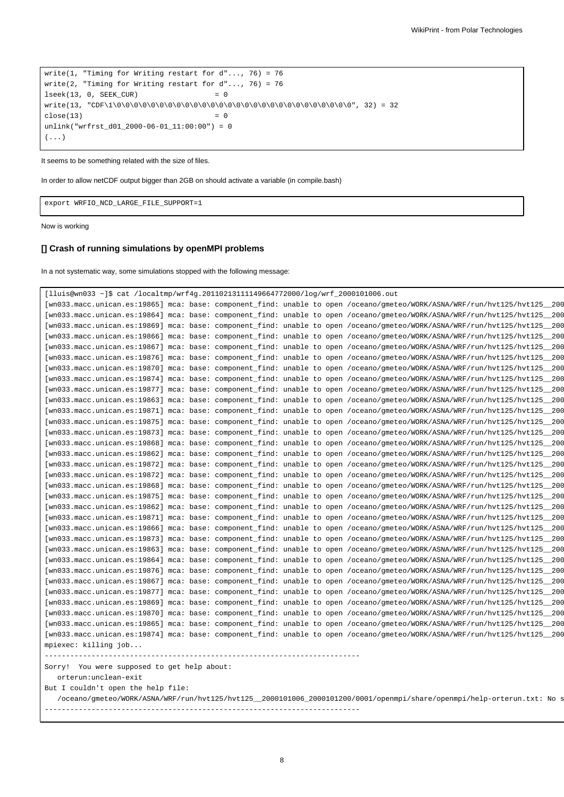```
write(1, "Timing for Writing restart for d"..., 76) = 76
write(2, "Timing for Writing restart for d"..., 76) = 76
lseek(13, 0, SEEK_CUR) = 0write(13, "CDF\1\0\0\0\0\0\0\0\0\0\0\0\0\0\0\0\0\0\0\0\0\0\0\0\0\0\0\0\0", 32) = 32
close(13) = 0
unlink("wrfrst_d01_2000-06-01_11:00:00") = 0
( \ldots )
```
It seems to be something related with the size of files.

In order to allow netCDF output bigger than 2GB on should activate a variable (in compile.bash)

export WRFIO\_NCD\_LARGE\_FILE\_SUPPORT=1

Now is working

## **[] Crash of running simulations by openMPI problems**

In a not systematic way, some simulations stopped with the following message:

```
[lluis@wn033 ~]$ cat /localtmp/wrf4g.20110213111149664772000/log/wrf_2000101006.out
[wn033.macc.unican.es:19865] mca: base: component_find: unable to open /oceano/gmeteo/WORK/ASNA/WRF/run/hvt125/hvt125_200
[wn033.macc.unican.es:19864] mca: base: component_find: unable to open /oceano/gmeteo/WORK/ASNA/WRF/run/hvt125/hvt125_200
[wn033.macc.unican.es:19869] mca: base: component_find: unable to open /oceano/gmeteo/WORK/ASNA/WRF/run/hvt125/hvt125_200
[wn033.macc.unican.es:19866] mca: base: component_find: unable to open /oceano/gmeteo/WORK/ASNA/WRF/run/hvt125/hvt125_200
[wn033.macc.unican.es:19867] mca: base: component_find: unable to open /oceano/gmeteo/WORK/ASNA/WRF/run/hvt125/hvt125_200
[wn033.macc.unican.es:19876] mca: base: component_find: unable to open /oceano/gmeteo/WORK/ASNA/WRF/run/hvt125/hvt125_200
[wn033.macc.unican.es:19870] mca: base: component_find: unable to open /oceano/gmeteo/WORK/ASNA/WRF/run/hvt125/hvt125_200
[wn033.macc.unican.es:19874] mca: base: component_find: unable to open /oceano/gmeteo/WORK/ASNA/WRF/run/hvt125/hvt125_200
[wn033.macc.unican.es:19877] mca: base: component_find: unable to open /oceano/gmeteo/WORK/ASNA/WRF/run/hvt125/hvt125_200
[wn033.macc.unican.es:19863] mca: base: component_find: unable to open /oceano/gmeteo/WORK/ASNA/WRF/run/hvt125/hvt125_200
[wn033.macc.unican.es:19871] mca: base: component_find: unable to open /oceano/gmeteo/WORK/ASNA/WRF/run/hvt125/hvt125_200
[wn033.macc.unican.es:19875] mca: base: component_find: unable to open /oceano/gmeteo/WORK/ASNA/WRF/run/hvt125/hvt125_200
[wn033.macc.unican.es:19873] mca: base: component_find: unable to open /oceano/gmeteo/WORK/ASNA/WRF/run/hvt125/hvt125_200
[wn033.macc.unican.es:19868] mca: base: component_find: unable to open /oceano/gmeteo/WORK/ASNA/WRF/run/hvt125/hvt125_200
[wn033.macc.unican.es:19862] mca: base: component_find: unable to open /oceano/gmeteo/WORK/ASNA/WRF/run/hvt125/hvt125_200
[wn033.macc.unican.es:19872] mca: base: component_find: unable to open /oceano/gmeteo/WORK/ASNA/WRF/run/hvt125/hvt125_200
[wn033.macc.unican.es:19872] mca: base: component_find: unable to open /oceano/gmeteo/WORK/ASNA/WRF/run/hvt125/hvt125_200
[wn033.macc.unican.es:19868] mca: base: component_find: unable to open /oceano/gmeteo/WORK/ASNA/WRF/run/hvt125/hvt125_200
[wn033.macc.unican.es:19875] mca: base: component_find: unable to open /oceano/gmeteo/WORK/ASNA/WRF/run/hvt125/hvt125_200
[wn033.macc.unican.es:19862] mca: base: component_find: unable to open /oceano/gmeteo/WORK/ASNA/WRF/run/hvt125/hvt125_200
[wn033.macc.unican.es:19871] mca: base: component_find: unable to open /oceano/gmeteo/WORK/ASNA/WRF/run/hvt125/hvt125_200
[wn033.macc.unican.es:19866] mca: base: component_find: unable to open /oceano/gmeteo/WORK/ASNA/WRF/run/hvt125/hvt125_200
[wn033.macc.unican.es:19873] mca: base: component_find: unable to open /oceano/gmeteo/WORK/ASNA/WRF/run/hvt125/hvt125_200
[wn033.macc.unican.es:19863] mca: base: component_find: unable to open /oceano/gmeteo/WORK/ASNA/WRF/run/hvt125/hvt125_200
[wn033.macc.unican.es:19864] mca: base: component_find: unable to open /oceano/gmeteo/WORK/ASNA/WRF/run/hvt125/hvt125_200
[wn033.macc.unican.es:19876] mca: base: component_find: unable to open /oceano/gmeteo/WORK/ASNA/WRF/run/hvt125/hvt125_200
[wn033.macc.unican.es:19867] mca: base: component_find: unable to open /oceano/gmeteo/WORK/ASNA/WRF/run/hvt125/hvt125_200
[wn033.macc.unican.es:19877] mca: base: component_find: unable to open /oceano/gmeteo/WORK/ASNA/WRF/run/hvt125/hvt125_200
[wn033.macc.unican.es:19869] mca: base: component_find: unable to open /oceano/gmeteo/WORK/ASNA/WRF/run/hvt125/hvt125_200
[wn033.macc.unican.es:19870] mca: base: component_find: unable to open /oceano/gmeteo/WORK/ASNA/WRF/run/hvt125/hvt125_200
[wn033.macc.unican.es:19865] mca: base: component_find: unable to open /oceano/gmeteo/WORK/ASNA/WRF/run/hvt125/hvt125_200
[wn033.macc.unican.es:19874] mca: base: component_find: unable to open /oceano/gmeteo/WORK/ASNA/WRF/run/hvt125/hvt125_200
mpiexec: killing job...
--------------------------------------------------------------------------
Sorry! You were supposed to get help about:
  orterun:unclean-exit
But I couldn't open the help file:
```
/oceano/gmeteo/WORK/ASNA/WRF/run/hvt125/hvt125\_2000101006\_2000101200/0001/openmpi/share/openmpi/help-orterun.txt: No s --------------------------------------------------------------------------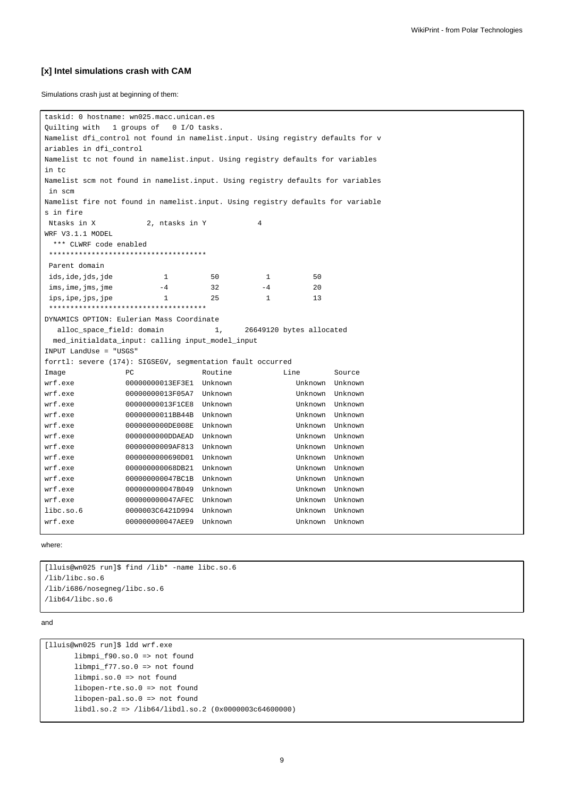#### **[x] Intel simulations crash with CAM**

Simulations crash just at beginning of them:

```
taskid: 0 hostname: wn025.macc.unican.es
Quilting with 1 groups of 0 I/O tasks.
Namelist dfi_control not found in namelist.input. Using registry defaults for v
ariables in dfi_control
Namelist tc not found in namelist.input. Using registry defaults for variables
in tc
Namelist scm not found in namelist.input. Using registry defaults for variables
in scm
Namelist fire not found in namelist.input. Using registry defaults for variable
s in fire
Ntasks in X 2, ntasks in Y 4
WRF V3.1.1 MODEL
 *** CLWRF code enabled
 *************************************
Parent domain
ids, ide, jds, jde 1 50 1 50
\text{ims.}\ \text{ime.}\ \text{Time} -4 \text{32} -4 \text{20}ips, ipe, ips, jpe 1 25 1 13
 *************************************
DYNAMICS OPTION: Eulerian Mass Coordinate
  alloc space field: domain 1, 26649120 bytes allocated
 med_initialdata_input: calling input_model_input
INPUT LandUse = "USGS"
forrtl: severe (174): SIGSEGV, segmentation fault occurred
Image PC Routine Line Source
wrf.exe 00000000013EF3E1 Unknown Unknown Unknown
wrf.exe 00000000013F05A7 Unknown Unknown Unknown
wrf.exe 00000000013F1CE8 Unknown Unknown Unknown
wrf.exe 00000000011BB44B Unknown Unknown Unknown
wrf.exe 0000000000DE008E Unknown Unknown Unknown
wrf.exe 0000000000DDAEAD Unknown Unknown Unknown
wrf.exe 00000000009AF813 Unknown Unknown Unknown
wrf.exe 0000000000690D01 Unknown Unknown Unknown
wrf.exe 000000000068DB21 Unknown Unknown Unknown
wrf.exe 000000000047BC1B Unknown Unknown Unknown
wrf.exe 000000000047B049 Unknown Unknown Unknown
wrf.exe 000000000047AFEC Unknown Unknown Unknown
libc.so.6 0000003C6421D994 Unknown Unknown Unknown
wrf.exe 000000000047AEE9 Unknown Unknown Unknown
```
#### where:

[lluis@wn025 run]\$ find /lib\* -name libc.so.6 /lib/libc.so.6 /lib/i686/nosegneg/libc.so.6 /lib64/libc.so.6

#### and

[lluis@wn025 run]\$ ldd wrf.exe libmpi\_f90.so.0 => not found libmpi\_f77.so.0 => not found libmpi.so.0 => not found libopen-rte.so.0 => not found libopen-pal.so.0 => not found libdl.so.2 => /lib64/libdl.so.2 (0x0000003c64600000)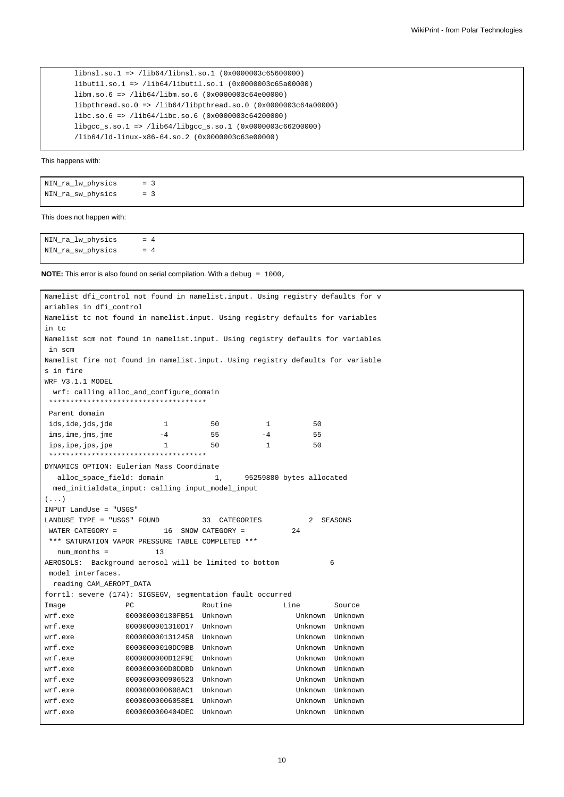```
libnsl.so.1 => /lib64/libnsl.so.1 (0x0000003c65600000)
libutil.so.1 => /lib64/libutil.so.1 (0x0000003c65a00000)
libm.so.6 => /lib64/libm.so.6 (0x0000003c64e00000)
libpthread.so.0 => /lib64/libpthread.so.0 (0x0000003c64a00000)
libc.so.6 => /lib64/libc.so.6 (0x0000003c64200000)
libgcc_s.so.1 => /lib64/libgcc_s.so.1 (0x0000003c66200000)
/lib64/ld-linux-x86-64.so.2 (0x0000003c63e00000)
```
This happens with:

| NIN_ra_lw_physics | $= 3$ |  |
|-------------------|-------|--|
| NIN_ra_sw_physics | $= 3$ |  |

#### This does not happen with:

NIN\_ra\_lw\_physics = 4 NIN\_ra\_sw\_physics = 4

**NOTE:** This error is also found on serial compilation. With a debug = 1000,

| Namelist dfi_control not found in namelist.input. Using registry defaults for v |                                                   |                    |              |                          |         |
|---------------------------------------------------------------------------------|---------------------------------------------------|--------------------|--------------|--------------------------|---------|
| ariables in dfi_control                                                         |                                                   |                    |              |                          |         |
| Namelist tc not found in namelist.input. Using registry defaults for variables  |                                                   |                    |              |                          |         |
| in tc                                                                           |                                                   |                    |              |                          |         |
| Namelist scm not found in namelist.input. Using registry defaults for variables |                                                   |                    |              |                          |         |
| in scm                                                                          |                                                   |                    |              |                          |         |
| Namelist fire not found in namelist.input. Using registry defaults for variable |                                                   |                    |              |                          |         |
| s in fire                                                                       |                                                   |                    |              |                          |         |
| WRF V3.1.1 MODEL                                                                |                                                   |                    |              |                          |         |
|                                                                                 | wrf: calling alloc_and_configure_domain           |                    |              |                          |         |
|                                                                                 | ************************************              |                    |              |                          |         |
| Parent domain                                                                   |                                                   |                    |              |                          |         |
| ids,ide,jds,jde                                                                 | 1                                                 | 50                 | $\mathbf{1}$ | 50                       |         |
| ims, ime, jms, jme                                                              | $-4$                                              | 55                 | $-4$         | 55                       |         |
| ips, ipe, jps, jpe                                                              | 1                                                 | 50                 | 1            | 50                       |         |
|                                                                                 | ************************************              |                    |              |                          |         |
| DYNAMICS OPTION: Eulerian Mass Coordinate                                       |                                                   |                    |              |                          |         |
| alloc_space_field: domain                                                       |                                                   | 1,                 |              | 95259880 bytes allocated |         |
|                                                                                 | med_initialdata_input: calling input_model_input  |                    |              |                          |         |
| $(\ldots)$                                                                      |                                                   |                    |              |                          |         |
| INPUT LandUse = "USGS"                                                          |                                                   |                    |              |                          |         |
| LANDUSE TYPE = "USGS" FOUND                                                     |                                                   | 33 CATEGORIES      |              | 2                        | SEASONS |
| WATER CATEGORY =                                                                |                                                   | 16 SNOW CATEGORY = |              | 24                       |         |
|                                                                                 | *** SATURATION VAPOR PRESSURE TABLE COMPLETED *** |                    |              |                          |         |
| num months =                                                                    | 13                                                |                    |              |                          |         |
| AEROSOLS: Background aerosol will be limited to bottom                          |                                                   |                    |              |                          | 6       |
| model interfaces.                                                               |                                                   |                    |              |                          |         |
| reading CAM_AEROPT_DATA                                                         |                                                   |                    |              |                          |         |
| forrtl: severe (174): SIGSEGV, segmentation fault occurred                      |                                                   |                    |              |                          |         |
| Image                                                                           | РC                                                | Routine            |              | Line                     | Source  |
| wrf.exe                                                                         | 000000000130FB51 Unknown                          |                    |              | Unknown Unknown          |         |
| wrf.exe                                                                         | 0000000001310D17 Unknown                          |                    |              | Unknown Unknown          |         |
| wrf.exe                                                                         | 0000000001312458 Unknown                          |                    |              | Unknown Unknown          |         |
| wrf.exe                                                                         | 00000000010DC9BB Unknown                          |                    |              | Unknown Unknown          |         |
| wrf.exe                                                                         | 0000000000D12F9E Unknown                          |                    |              | Unknown Unknown          |         |
| wrf.exe                                                                         | 0000000000DDDBD Unknown                           |                    |              | Unknown Unknown          |         |
| wrf.exe                                                                         | 0000000000906523 Unknown                          |                    |              | Unknown Unknown          |         |
| wrf.exe                                                                         | 0000000000608AC1 Unknown                          |                    |              | Unknown Unknown          |         |
| wrf.exe                                                                         | 00000000006058E1 Unknown                          |                    |              | Unknown Unknown          |         |
| wrf.exe                                                                         | 0000000000404DEC                                  | Unknown            |              | Unknown Unknown          |         |
|                                                                                 |                                                   |                    |              |                          |         |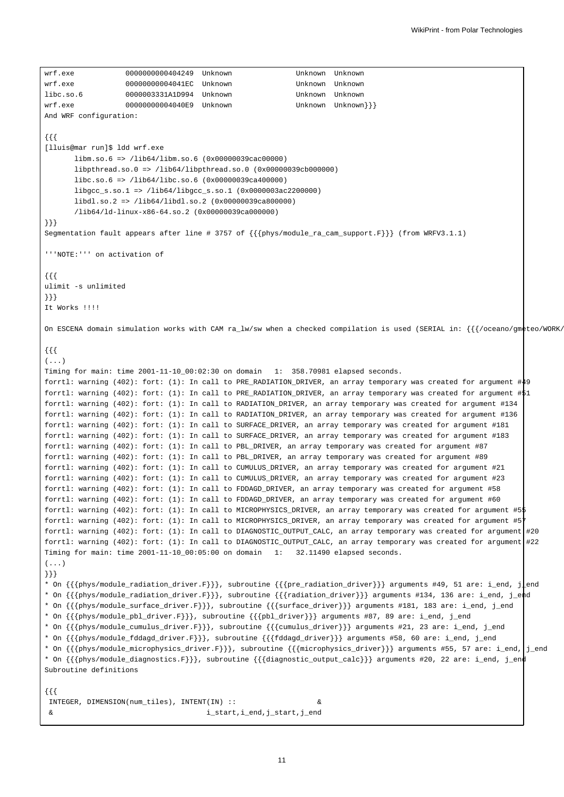```
wrf.exe 0000000000404249 Unknown Unknown Unknown
wrf.exe 00000000004041EC Unknown Unknown Unknown
libc.so.6 0000003331A1D994 Unknown Unknown Unknown
wrf.exe 00000000004040E9 Unknown Unknown Unknown}}}
And WRF configuration:
{{{
[lluis@mar run]$ ldd wrf.exe
      libm.so.6 => /lib64/libm.so.6 (0x00000039cac00000)
      libpthread.so.0 => /lib64/libpthread.so.0 (0x00000039cb000000)
      libc.so.6 => /lib64/libc.so.6 (0x00000039ca400000)
      libgcc_s.so.1 => /lib64/libgcc_s.so.1 (0x0000003ac2200000)
      libdl.so.2 => /lib64/libdl.so.2 (0x00000039ca800000)
      /lib64/ld-linux-x86-64.so.2 (0x00000039ca000000)
}}}
Segmentation fault appears after line # 3757 of {{{phys/module_ra_cam_support.F}}} (from WRFV3.1.1)
'''NOTE:''' on activation of
{{{
ulimit -s unlimited
}}}
It Works !!!!
On ESCENA domain simulation works with CAM ra_lw/sw when a checked compilation is used (SERIAL in: {{{/oceano/gmeteo/WORK/
{{{
( \ldots )Timing for main: time 2001-11-10_00:02:30 on domain 1: 358.70981 elapsed seconds.
forrtl: warning (402): fort: (1): In call to PRE_RADIATION_DRIVER, an array temporary was created for argument #49
forrtl: warning (402): fort: (1): In call to PRE_RADIATION_DRIVER, an array temporary was created for argument #51
forrtl: warning (402): fort: (1): In call to RADIATION_DRIVER, an array temporary was created for argument #134
forrtl: warning (402): fort: (1): In call to RADIATION_DRIVER, an array temporary was created for argument #136
forrtl: warning (402): fort: (1): In call to SURFACE_DRIVER, an array temporary was created for argument #181
forrtl: warning (402): fort: (1): In call to SURFACE_DRIVER, an array temporary was created for argument #183
forrtl: warning (402): fort: (1): In call to PBL_DRIVER, an array temporary was created for argument #87
forrtl: warning (402): fort: (1): In call to PBL_DRIVER, an array temporary was created for argument #89
forrtl: warning (402): fort: (1): In call to CUMULUS_DRIVER, an array temporary was created for argument #21
forrtl: warning (402): fort: (1): In call to CUMULUS_DRIVER, an array temporary was created for argument #23
forrtl: warning (402): fort: (1): In call to FDDAGD_DRIVER, an array temporary was created for argument #58
forrtl: warning (402): fort: (1): In call to FDDAGD_DRIVER, an array temporary was created for argument #60
forrtl: warning (402): fort: (1): In call to MICROPHYSICS_DRIVER, an array temporary was created for argument #55
forrtl: warning (402): fort: (1): In call to MICROPHYSICS_DRIVER, an array temporary was created for argument #57
forrtl: warning (402): fort: (1): In call to DIAGNOSTIC_OUTPUT_CALC, an array temporary was created for argument #20
forrtl: warning (402): fort: (1): In call to DIAGNOSTIC_OUTPUT_CALC, an array temporary was created for argument #22
Timing for main: time 2001-11-10_00:05:00 on domain 1: 32.11490 elapsed seconds.
(...)}}}
* On {{{phys/module_radiation_driver.F}}}, subroutine {{{pre_radiation_driver}}} arguments #49, 51 are: i_end, j_end
* On {{{phys/module_radiation_driver.F}}}, subroutine {{{radiation_driver}}} arguments #134, 136 are: i_end, j_end
* On {{{phys/module_surface_driver.F}}}, subroutine {{{surface_driver}}} arguments #181, 183 are: i_end, j_end
* On {{{phys/module_pbl_driver.F}}}, subroutine {{{pbl_driver}}} arguments #87, 89 are: i_end, j_end
* On {{{phys/module_cumulus_driver.F}}}, subroutine {{{cumulus_driver}}} arguments #21, 23 are: i_end, j_end
* On {{{phys/module_fddagd_driver.F}}}, subroutine {{{fddagd_driver}}} arguments #58, 60 are: i_end, j_end
* On {{{phys/module_microphysics_driver.F}}}, subroutine {{{microphysics driver}}} arguments #55, 57 are: i_end, j_i_end
* On {{{phys/module_diagnostics.F}}}, subroutine {{{diagnostic_output_calc}}} arguments #20, 22 are: i_end, j_end
Subroutine definitions
{{{
INTEGER, DIMENSION(num_tiles), INTENT(IN) :: &
 & i_start,i_end,j_start,j_end
```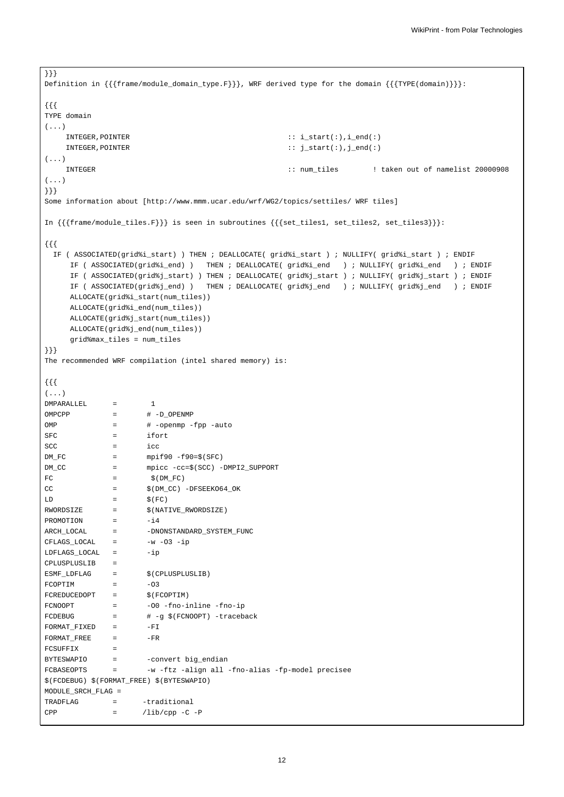```
}}}
Definition in {{{frame/module_domain_type.F}}}, WRF derived type for the domain {{{TYPE(domain)}}}:
{{{
TYPE domain
(...)
   INTEGER, POINTER \qquad \qquad :: i\_start(:), i\_end(:)INTEGER,POINTER :: j_start(:),j_end(:)
( \ldots )INTEGER :: num_tiles ! taken out of namelist 20000908
(...)
}}}
Some information about [http://www.mmm.ucar.edu/wrf/WG2/topics/settiles/ WRF tiles]
In {{{frame/module_tiles.F}}} is seen in subroutines {{{set_tiles1, set_tiles2, set_tiles3}}}:
{{{
 IF ( ASSOCIATED(grid%i_start) ) THEN ; DEALLOCATE( grid%i_start ) ; NULLIFY( grid%i_start ) ; ENDIF
     IF ( ASSOCIATED(grid%i_end) ) THEN ; DEALLOCATE( grid%i_end ) ; NULLIFY( grid%i_end ) ; ENDIF
     IF ( ASSOCIATED(grid%j_start) ) THEN ; DEALLOCATE( grid%j_start ) ; NULLIFY( grid%j_start ) ; ENDIF
     IF ( ASSOCIATED(grid%j_end) ) THEN ; DEALLOCATE( grid%j_end ) ; NULLIFY( grid%j_end ) ; ENDIF
     ALLOCATE(grid%i_start(num_tiles))
     ALLOCATE(grid%i_end(num_tiles))
     ALLOCATE(grid%j_start(num_tiles))
     ALLOCATE(grid%j_end(num_tiles))
     grid%max_tiles = num_tiles
}}}
The recommended WRF compilation (intel shared memory) is:
{{{
(...)
DMPARALLEL = 1OMPCPP = # -D_OPENMP
OMP = # -openmp -fpp -auto
SFC = ifort
SCC = 1CCDM\_FC = mpif90-f90=\frac{6}{5}(SFC)DM_CC = mpicc -cc=$(SCC) -DMPI2_SUPPORT
FC = \frac{1}{2} (DM_FC)
CC = $(DM\_CC) -DFSEEXO64_OK\mbox{\texttt{LD}} \qquad \qquad = \qquad \qquad \hat{\mbox{\texttt{S}}}\,(\,\mbox{\texttt{FC}}\,)RWORDSIZE = \hat{\varphi}(\text{NATIVE\_RWORDSIZE})PROMOTION = -i4ARCH_LOCAL = -DNONSTANDARD_SYSTEM_FUNC
CFLAGS_LOCAL = -w -O3 -ip\begin{array}{ccc} \texttt{LDFIAGS\_LOCAL} & = & -\texttt{ip} \end{array}CPLUSPLUSLIB =
ESMF\_LDFLAG = \S(CPLUSPLUSLIB)FCOPTIM = -03FCREDUCEDOPT = \hat{\varsigma}(FCOPTIM)
FCNOOPT = -00 -fno-inline -fno-ip
FCDEBUG = # -g $(FCNOOPT) -traceback
FORMAT_FIXED = -FIFORMAT_FREE = -FRFCSUFFIX =
BYTESWAPIO = - -convert big endian
FCBASEOPTS = -w -ftz -align all -fno-alias -fp-model precisee
$(FCDEBUG) $(FORMAT_FREE) $(BYTESWAPIO)
MODULE_SRCH_FLAG =
TRADFLAG = - traditional
CPP = /lib/cpp -C -P
```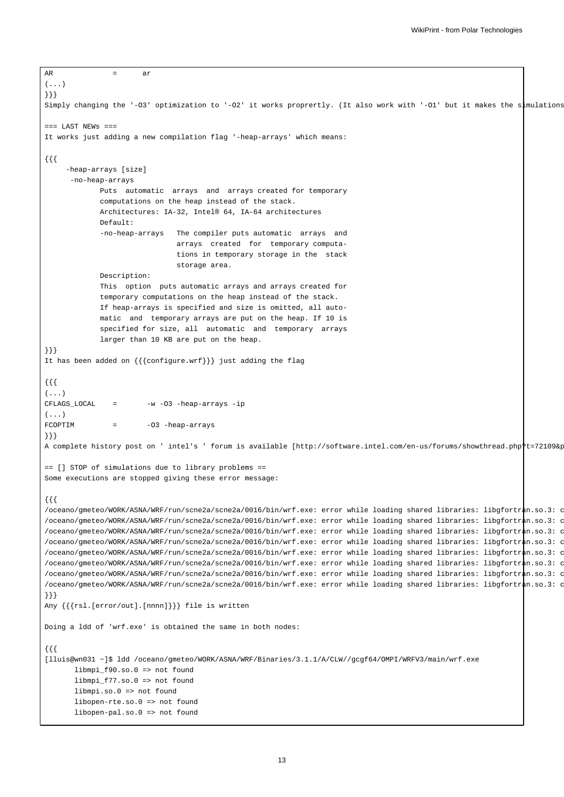```
AR = ar( \ldots )}}}
Simply changing the '-O3' optimization to '-O2' it works proprertly. (It also work with '-O1' but it makes the simulations
== LAST NEWS ==It works just adding a new compilation flag '-heap-arrays' which means:
{{{
     -heap-arrays [size]
      -no-heap-arrays
            Puts automatic arrays and arrays created for temporary
             computations on the heap instead of the stack.
            Architectures: IA-32, Intel® 64, IA-64 architectures
            Default:
             -no-heap-arrays The compiler puts automatic arrays and
                              arrays created for temporary computa-
                               tions in temporary storage in the stack
                               storage area.
            Description:
            This option puts automatic arrays and arrays created for
            temporary computations on the heap instead of the stack.
             If heap-arrays is specified and size is omitted, all auto-
            matic and temporary arrays are put on the heap. If 10 is
             specified for size, all automatic and temporary arrays
             larger than 10 KB are put on the heap.
}}}
It has been added on {{{configure.wrf}}} just adding the flag
{{{
(...)
CFLAGS_LOCAL = -w -03 -heap-arrays -ip
(...)FCOPTIM = -03 -heap-arrays
}}}
A complete history post on ' intel's ' forum is available [http://software.intel.com/en-us/forums/showthread.php?t=72109&p=1 }
== [] STOP of simulations due to library problems ==
Some executions are stopped giving these error message:
{{{
/oceano/gmeteo/WORK/ASNA/WRF/run/scne2a/scne2a/0016/bin/wrf.exe: error while loading shared libraries: libgfortran.so.3: c
/oceano/gmeteo/WORK/ASNA/WRF/run/scne2a/scne2a/0016/bin/wrf.exe: error while loading shared libraries: libgfortran.so.3: c
/oceano/gmeteo/WORK/ASNA/WRF/run/scne2a/scne2a/0016/bin/wrf.exe: error while loading shared libraries: libgfortran.so.3: c
/oceano/gmeteo/WORK/ASNA/WRF/run/scne2a/scne2a/0016/bin/wrf.exe: error while loading shared libraries: libgfortran.so.3: c
/oceano/gmeteo/WORK/ASNA/WRF/run/scne2a/scne2a/0016/bin/wrf.exe: error while loading shared libraries: libgfortran.so.3: c
/oceano/gmeteo/WORK/ASNA/WRF/run/scne2a/scne2a/0016/bin/wrf.exe: error while loading shared libraries: libgfortr\frac{1}{n}.so.3: c
/oceano/gmeteo/WORK/ASNA/WRF/run/scne2a/scne2a/0016/bin/wrf.exe: error while loading shared libraries: libgfortran.so.3: c
/oceano/gmeteo/WORK/ASNA/WRF/run/scne2a/scne2a/0016/bin/wrf.exe: error while loading shared libraries: libgfortran.so.3: c
}}}
Any {{{rsl.[error/out].[nnnn]}}} file is written
Doing a ldd of 'wrf.exe' is obtained the same in both nodes:
{{{
[lluis@wn031 ~]$ ldd /oceano/gmeteo/WORK/ASNA/WRF/Binaries/3.1.1/A/CLW//gcgf64/OMPI/WRFV3/main/wrf.exe
      libmpi_f90.so.0 => not found
      libmpi_f77.so.0 => not found
      libmpi.so.0 => not found
      libopen-rte.so.0 => not found
      libopen-pal.so.0 => not found
```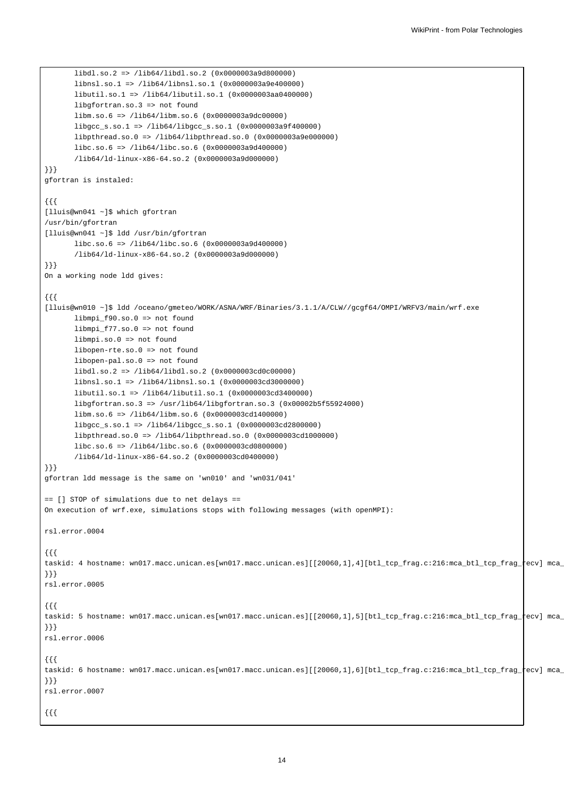```
libdl.so.2 => /lib64/libdl.so.2 (0x0000003a9d800000)
       libnsl.so.1 => /lib64/libnsl.so.1 (0x0000003a9e400000)
       libutil.so.1 => /lib64/libutil.so.1 (0x0000003aa0400000)
       libgfortran.so.3 => not found
       libm.so.6 => /lib64/libm.so.6 (0x0000003a9dc00000)
       libgcc_s.so.1 => /lib64/libgcc_s.so.1 (0x0000003a9f400000)
       libpthread.so.0 => /lib64/libpthread.so.0 (0x0000003a9e000000)
       libc.so.6 => /lib64/libc.so.6 (0x0000003a9d400000)
       /lib64/ld-linux-x86-64.so.2 (0x0000003a9d000000)
}}}
gfortran is instaled:
{{{
[lluis@wn041 ~]$ which gfortran
/usr/bin/gfortran
[lluis@wn041 ~]$ ldd /usr/bin/gfortran
      libc.so.6 => /lib64/libc.so.6 (0x0000003a9d400000)
       /lib64/ld-linux-x86-64.so.2 (0x0000003a9d000000)
}}}
On a working node ldd gives:
{{{
[lluis@wn010 ~]$ ldd /oceano/gmeteo/WORK/ASNA/WRF/Binaries/3.1.1/A/CLW//gcgf64/OMPI/WRFV3/main/wrf.exe
      libmpi_f90.so.0 => not found
       libmpi_f77.so.0 => not found
       libmpi.so.0 => not found
       libopen-rte.so.0 => not found
       libopen-pal.so.0 => not found
       libdl.so.2 => /lib64/libdl.so.2 (0x0000003cd0c00000)
       libnsl.so.1 => /lib64/libnsl.so.1 (0x0000003cd3000000)
       libutil.so.1 => /lib64/libutil.so.1 (0x0000003cd3400000)
       libgfortran.so.3 => /usr/lib64/libgfortran.so.3 (0x00002b5f55924000)
       libm.so.6 => /lib64/libm.so.6 (0x0000003cd1400000)
       libgcc_s.so.1 => /lib64/libgcc_s.so.1 (0x0000003cd2800000)
       libpthread.so.0 => /lib64/libpthread.so.0 (0x0000003cd1000000)
       libc.so.6 => /lib64/libc.so.6 (0x0000003cd0800000)
       /lib64/ld-linux-x86-64.so.2 (0x0000003cd0400000)
}}}
gfortran ldd message is the same on 'wn010' and 'wn031/041'
== [] STOP of simulations due to net delays ==
On execution of wrf.exe, simulations stops with following messages (with openMPI):
rsl.error.0004
{{{
taskid: 4 hostname: wn017.macc.unican.es[wn017.macc.unican.es][[20060,1],4][btl_tcp_frag.c:216:mca_btl_tcp_frag_recv] mca_
}}}
rsl.error.0005
{{{
taskid: 5 hostname: wn017.macc.unican.es[wn017.macc.unican.es][[20060,1],5][btl_tcp_frag.c:216:mca_btl_tcp_frag_recv] mca_
}}}
rsl.error.0006
{{{
taskid: 6 hostname: wn017.macc.unican.es[wn017.macc.unican.es][[20060,1],6][btl_tcp_frag.c:216:mca_btl_tcp_frag_recv] mca_
}}}
rsl.error.0007
{{{
```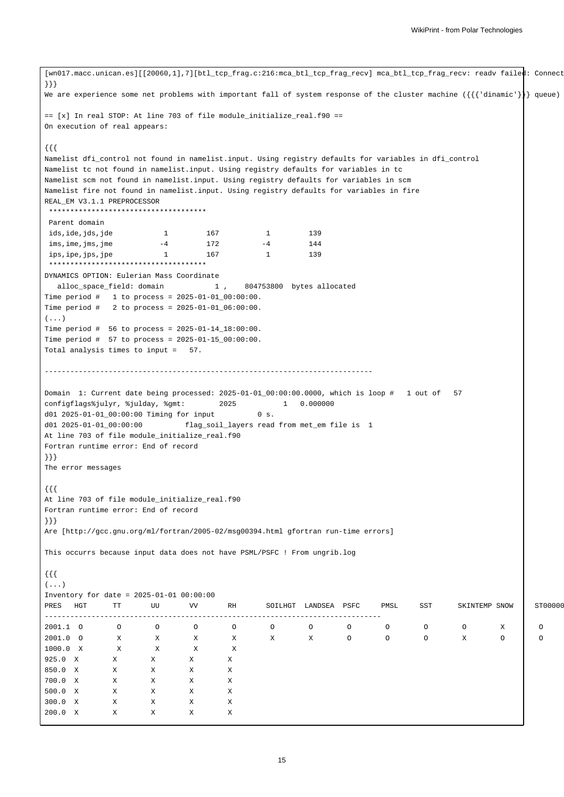```
[wn017.macc.unican.es][[20060,1],7][btl_tcp_frag.c:216:mca_btl_tcp_frag_recv] mca_btl_tcp_frag_recv: readv faile\phi: Connect
}}}
We are experience some net problems with important fall of system response of the cluster machine ({{'dinamic'}}} queue)
== [x] In real STOP: At line 703 of file module_initialize_real.f90 ==
On execution of real appears:
{{{
Namelist dfi_control not found in namelist.input. Using registry defaults for variables in dfi_control
Namelist tc not found in namelist.input. Using registry defaults for variables in tc
Namelist scm not found in namelist.input. Using registry defaults for variables in scm
Namelist fire not found in namelist.input. Using registry defaults for variables in fire
REAL_EM V3.1.1 PREPROCESSOR
*************************************
Parent domain
ids, ide, jds, jde 1 167 1 139
ims, ime, jms, jme -4 172 -4 144
ips,ipe,jps,jpe 1 167 1 139
*************************************
DYNAMICS OPTION: Eulerian Mass Coordinate
 alloc_space_field: domain 1 , 804753800 bytes allocated
Time period # 1 to process = 2025-01-01_00:00:00.
Time period # 2 to process = 2025-01-01_06:00:00.
(...)Time period # 56 to process = 2025-01-14_18:00:00.
Time period # 57 to process = 2025-01-15_00:00:00.
Total analysis times to input = 57.
 -----------------------------------------------------------------------------
Domain 1: Current date being processed: 2025-01-01_00:00:00.0000, which is loop # 1 out of 57
configflags%julyr, %julday, %gmt: 2025 1 0.000000
d01 2025-01-01_00:00:00 Timing for input 0 s.
d01 2025-01-01_00:00:00 flag_soil_layers read from met_em file is 1
At line 703 of file module_initialize_real.f90
Fortran runtime error: End of record
}}}
The error messages
{{{
At line 703 of file module_initialize_real.f90
Fortran runtime error: End of record
}}}
Are [http://gcc.gnu.org/ml/fortran/2005-02/msg00394.html gfortran run-time errors]
This occurrs because input data does not have PSML/PSFC ! From ungrib.log
{{{
( \ldots )Inventory for date = 2025-01-01 00:00:00
PRES HGT TT UU VV RH SOILHGT LANDSEA PSFC PMSL SST SKINTEMP SNOW ST00000
 -------------------------------------------------------------------------------
2001.1 O O O O O O O O O O O X O O O O O O O O
2001.0 O X X X X X X X O O O X O O O
1000.0 X X X X X
925.0 X X X X X
850.0 X X X X X
700.0 X X X X X
500.0 X X X X X
300.0 X X X X X
200.0 X X X X X
```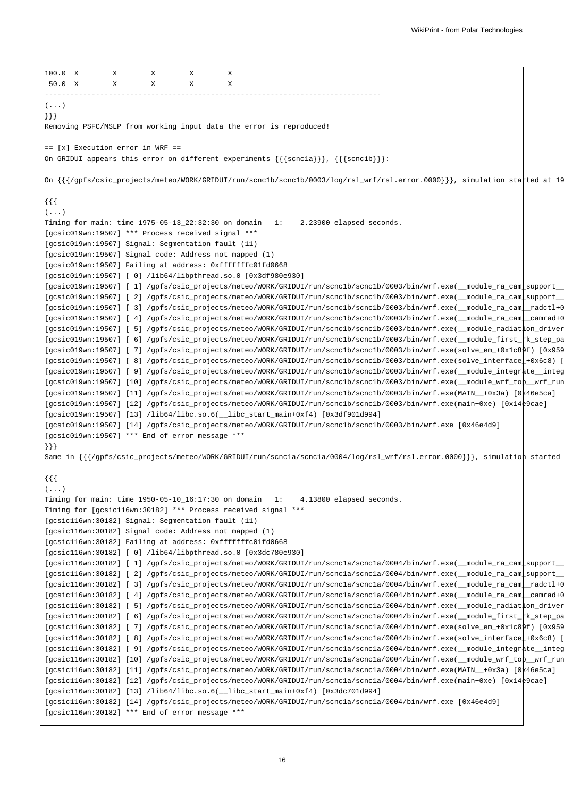```
100.0 X X X X X
 50.0 X X X X X
-------------------------------------------------------------------------------
( \ldots )}}}
Removing PSFC/MSLP from working input data the error is reproduced!
== [x] Execution error in WRF ==
On GRIDUI appears this error on different experiments {{{scnc1a}}}, {{{scnc1b}}}:
On \{\{\}/\text{gpfs}/\text{csic\_projects/meteo}/\text{WOK}/\text{GRIDUI}/\text{run}/\text{scnclb}/\text{scnclb}/0003/\log/rsl\_wrf/rsl.error.0000\}\}, simulation statted at 19
{{{
( \ldots )Timing for main: time 1975-05-13_22:32:30 on domain 1: 2.23900 elapsed seconds.
[gcsic019wn:19507] *** Process received signal ***
[gcsic019wn:19507] Signal: Segmentation fault (11)
[gcsic019wn:19507] Signal code: Address not mapped (1)
[gcsic019wn:19507] Failing at address: 0xfffffffc01fd0668
[gcsic019wn:19507] [ 0] /lib64/libpthread.so.0 [0x3df980e930]
[gcsic019wn:19507] [ 1] /gpfs/csic_projects/meteo/WORK/GRIDUI/run/scnc1b/scnc1b/0003/bin/wrf.exe(_module_ra_cam_support_
[gcsic019wn:19507] [ 2] /gpfs/csic_projects/meteo/WORK/GRIDUI/run/scnc1b/scnc1b/0003/bin/wrf.exe(_module_ra_cam_support_
[gcsic019wn:19507] [ 3] /gpfs/csic_projects/meteo/WORK/GRIDUI/run/scnc1b/scnc1b/0003/bin/wrf.exe(_module_ra_cam_radctl+0x151f)
[gcsic019wn:19507] [ 4] /gpfs/csic_projects/meteo/WORK/GRIDUI/run/scnc1b/scnc1b/0003/bin/wrf.exe(_module_ra_cam_camrad+0x584d)
[gcsic019wn:19507] [ 5] /gpfs/csic_projects/meteo/WORK/GRIDUI/run/scnc1b/scnc1b/0003/bin/wrf.exe(_module_radiation_driver
[gcsic019wn:19507] [ 6] /gpfs/csic_projects/meteo/WORK/GRIDUI/run/scnc1b/scnc1b/0003/bin/wrf.exe(_module_first_tk_step_pa
[gcsic019wn:19507] [ 7] /gpfs/csic_projects/meteo/WORK/GRIDUI/run/scnc1b/scnc1b/0003/bin/wrf.exe(solve_em_+0x1c89f) [0x95939f]
[gcsic019wn:19507] [ 8] /gpfs/csic_projects/meteo/WORK/GRIDUI/run/scnc1b/scnc1b/0003/bin/wrf.exe(solve_interface_+0x6c8) [
[gcsic019wn:19507] [ 9] /gpfs/csic_projects/meteo/WORK/GRIDUI/run/scnc1b/scnc1b/0003/bin/wrf.exe(_module_integrate_integ
[gcsic019wn:19507] [10] /gpfs/csic_projects/meteo/WORK/GRIDUI/run/scnc1b/scnc1b/0003/bin/wrf.exe(_module_wrf_top__wrf_run+0x22) [0x46ef22] [0x46ef22] [0x46ef22] [0x46ef22] [0x46ef22] [0x46ef22] [0x46ef22] [0x46ef22] [0x46e
[gcsic019wn:19507] [11] /gpfs/csic_projects/meteo/WORK/GRIDUI/run/scnc1b/scnc1b/0003/bin/wrf.exe(MAIN__+0x3a) [0x46e5ca]
[gcsic019wn:19507] [12] /gpfs/csic_projects/meteo/WORK/GRIDUI/run/scnc1b/scnc1b/0003/bin/wrf.exe(main+0xe) [0x14e9cae]
[gcsic019wn:19507] [13] /lib64/libc.so.6(__libc_start_main+0xf4) [0x3df901d994]
[gcsic019wn:19507] [14] /gpfs/csic_projects/meteo/WORK/GRIDUI/run/scnc1b/scnc1b/0003/bin/wrf.exe [0x46e4d9]
[gcsic019wn:19507] *** End of error message ***
}}}
Same in \{ {\} /gpfs/csic_projects/meteo/WORK/GRIDUI/run/scnc1a/scnc1a/0004/log/rsl_wrf/rsl.error.0000}}}, simulation started
{{{
(...)
Timing for main: time 1950-05-10_16:17:30 on domain 1: 4.13800 elapsed seconds.
Timing for [gcsic116wn:30182] *** Process received signal ***
[gcsic116wn:30182] Signal: Segmentation fault (11)
[gcsic116wn:30182] Signal code: Address not mapped (1)
[gcsic116wn:30182] Failing at address: 0xfffffffc01fd0668
[gcsic116wn:30182] [ 0] /lib64/libpthread.so.0 [0x3dc780e930]
[gcsic116wn:30182] [ 1] /gpfs/csic_projects/meteo/WORK/GRIDUI/run/scnc1a/scnc1a/0004/bin/wrf.exe(__module_ra_cam_support_
[gcsic116wn:30182] [ 2] /gpfs/csic_projects/meteo/WORK/GRIDUI/run/scnc1a/scnc1a/0004/bin/wrf.exe(__module_ra_cam_support_
[gcsic116wn:30182] [ 3] /gpfs/csic_projects/meteo/WORK/GRIDUI/run/scnc1a/scnc1a/0004/bin/wrf.exe(_module_ra_cam_radctl+0x151f)
[gcsic116wn:30182] [ 4] /gpfs/csic_projects/meteo/WORK/GRIDUI/run/scnc1a/scnc1a/0004/bin/wrf.exe(_module_ra_cam_camrad+0x584d)
[gcsic116wn:30182] [ 5] /gpfs/csic_projects/meteo/WORK/GRIDUI/run/scnc1a/scnc1a/0004/bin/wrf.exe(_module_radiatton_driver
[gcsic116wn:30182] [ 6] /gpfs/csic_projects/meteo/WORK/GRIDUI/run/scnc1a/scnc1a/0004/bin/wrf.exe(_module_first_k_step_pa
[gcsic116wn:30182] [ 7] /gpfs/csic_projects/meteo/WORK/GRIDUI/run/scnc1a/scnc1a/0004/bin/wrf.exe(solve_em_+0x1c89f) [0x95939f]
[gesic116wn:30182] [ 8] /gpfs/csic_projects/meteo/WORK/GRIDUI/run/scnc1a/scnc1a/0004/bin/wrf.exe(solve_interface\pm+0x6c8) [
[gcsic116wn:30182] [ 9] /gpfs/csic_projects/meteo/WORK/GRIDUI/run/scnc1a/scnc1a/0004/bin/wrf.exe(_module_integrate_integ
[gcsic116wn:30182] [10] /gpfs/csic_projects/meteo/WORK/GRIDUI/run/scnc1a/scnc1a/0004/bin/wrf.exe(_module_wrf_top__wrf_run
[gcsic116wn:30182] [11] /gpfs/csic_projects/meteo/WORK/GRIDUI/run/scnc1a/scnc1a/0004/bin/wrf.exe(MAIN__+0x3a) [0x46e5ca]
[gcsic116wn:30182] [12] /gpfs/csic_projects/meteo/WORK/GRIDUI/run/scnc1a/scnc1a/0004/bin/wrf.exe(main+0xe) [0x14e9cae]
[qcsic116wn:30182] [13] /lib64/libe.so.6( libc start main+0xf4) [0x3dc701d994][gcsic116wn:30182] [14] /gpfs/csic_projects/meteo/WORK/GRIDUI/run/scnc1a/scnc1a/0004/bin/wrf.exe [0x46e4d9]
[gcsic116wn:30182] *** End of error message ***
```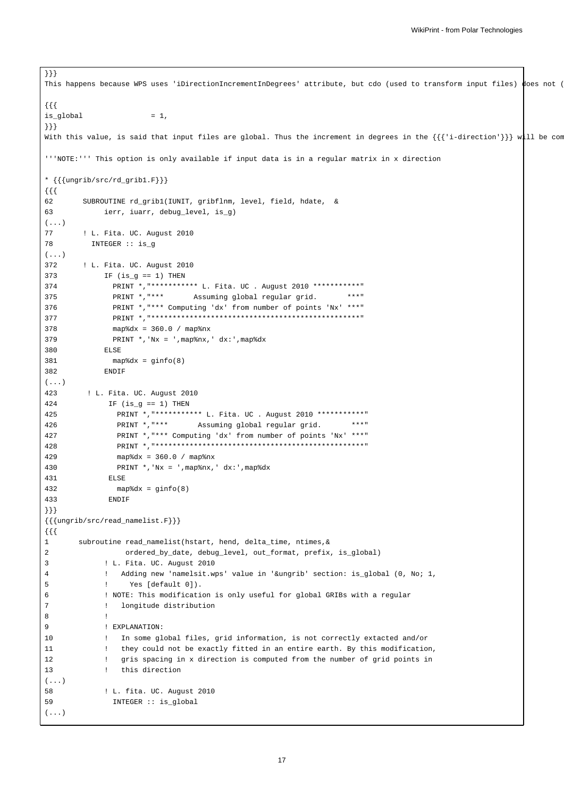```
This happens because WPS uses 'iDirectionIncrementInDegrees' attribute, but cdo (used to transform input files) does not (
{{{
is_global = 1,
}}}
With this value, is said that input files are global. Thus the increment in degrees in the \{\{\{\text{'i-direction'}\}\}\}\text{ with }'''NOTE:''' This option is only available if input data is in a regular matrix in x direction
* {{{ungrib/src/rd_grib1.F}}}
{{{
62 SUBROUTINE rd_grib1(IUNIT, gribflnm, level, field, hdate, &
63 ierr, iuarr, debug_level, is_g)
( \ldots )77 ! L. Fita. UC. August 2010
78 INTEGER :: is_g
(\ldots)372 ! L. Fita. UC. August 2010
373 IF (is q == 1) THEN
374 PRINT *,"*********** L. Fita. UC . August 2010 ***********"
375 PRINT *,"*** Assuming global regular grid. ***"
376 PRINT *,"*** Computing 'dx' from number of points 'Nx' ***"
377 PRINT *,"*************************************************"
378 map%dx = 360.0 / map%nx
379 PRINT *,'Nx = ',map%nx,' dx:',map%dx
380 ELSE
381 map%dx = ginfo(8)
382 ENDIF
(...)
423 ! L. Fita. UC. August 2010
424 IF (is_g == 1) THEN
425 PRINT *,"*********** L. Fita. UC . August 2010 ***********"
426 PRINT *,"*** Assuming global regular grid. ***"
427 PRINT *,"*** Computing 'dx' from number of points 'Nx' ***"
428 PRINT *,"*************************************************"
429 map%dx = 360.0 / map%nx
430 PRINT *,'Nx = ',map%nx,' dx:',map%dx
431 ELSE
432 map%dx = ginfo(8)
433 ENDIF
}}}
{{{ungrib/src/read_namelist.F}}}
{{{
1 subroutine read_namelist(hstart, hend, delta_time, ntimes,&
2 ordered_by_date, debug_level, out_format, prefix, is_global)
3 ! L. Fita. UC. August 2010
4 ! Adding new 'namelsit.wps' value in '&ungrib' section: is_global (0, No; 1,
5 ! Yes [default 0]).
6 ! NOTE: This modification is only useful for global GRIBs with a regular
7 ! longitude distribution
8 !
9 ! EXPLANATION:
10 ! In some global files, grid information, is not correctly extacted and/or
11 ! they could not be exactly fitted in an entire earth. By this modification,
12 ! gris spacing in x direction is computed from the number of grid points in
13 ! this direction
(...)
58 ! L. fita. UC. August 2010
59 INTEGER :: is_global
(...)
```
}}}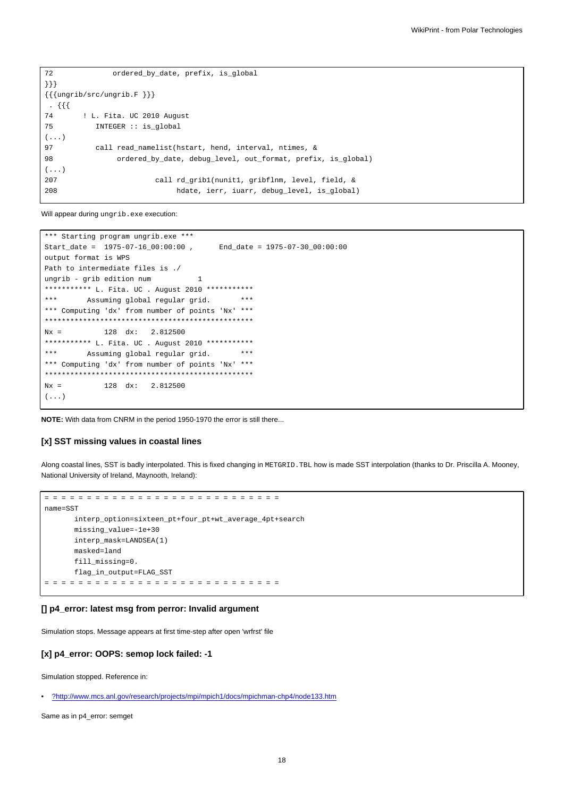```
72 ordered_by_date, prefix, is_global
}}}
\{\{\{\text{ungrib/src/ungrib.F }\}\}\}\. {{{
74 ! L. Fita. UC 2010 August
75 INTEGER :: is_global
(...)
97 call read_namelist(hstart, hend, interval, ntimes, &
98 ordered_by_date, debug_level, out_format, prefix, is_global)
(...)
207 call rd_grib1(nunit1, gribflnm, level, field, &
208 hdate, ierr, iuarr, debug_level, is_global)
```
Will appear during ungrib.exe execution:

```
*** Starting program ungrib.exe ***
Start_date = 1975-07-16_00:00:00 , End_date = 1975-07-30_00:00:00
output format is WPS
Path to intermediate files is ./
ungrib - grib edition num 1
*********** L. Fita. UC . August 2010 ************
*** Assuming global regular grid. ***
*** Computing 'dx' from number of points 'Nx' ***
*************************************************
Nx = 128 dx: 2.812500
*********** L. Fita. UC . August 2010 ************
*** Assuming global regular grid. ***
*** Computing 'dx' from number of points 'Nx' ***
*************************************************
Nx = 128 dx: 2.812500
(\ldots)
```
**NOTE:** With data from CNRM in the period 1950-1970 the error is still there...

## **[x] SST missing values in coastal lines**

Along coastal lines, SST is badly interpolated. This is fixed changing in METGRID.TBL how is made SST interpolation (thanks to Dr. Priscilla A. Mooney, National University of Ireland, Maynooth, Ireland):

```
= = = = = = = = = = = = = = = = = = = = = = = = = = = =
name=SST
      interp_option=sixteen_pt+four_pt+wt_average_4pt+search
      missing_value=-1e+30
      interp_mask=LANDSEA(1)
      masked=land
      fill missing=0.
      flag_in_output=FLAG_SST
= = = = = = = = = = = = = = = = = = = = = = = = = = = =
```
## **[] p4\_error: latest msg from perror: Invalid argument**

Simulation stops. Message appears at first time-step after open 'wrfrst' file

#### **[x] p4\_error: OOPS: semop lock failed: -1**

Simulation stopped. Reference in:

Same as in p4\_error: semget

<sup>•</sup> [?http://www.mcs.anl.gov/research/projects/mpi/mpich1/docs/mpichman-chp4/node133.htm](http://www.mcs.anl.gov/research/projects/mpi/mpich1/docs/mpichman-chp4/node133.htm)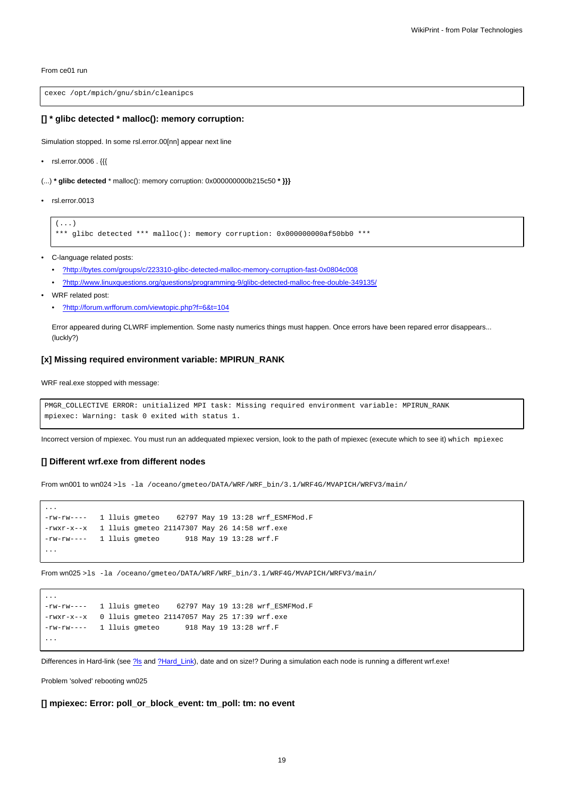From ce01 run

cexec /opt/mpich/gnu/sbin/cleanipcs

#### **[] \* glibc detected \* malloc(): memory corruption:**

Simulation stopped. In some rsl.error.00[nn] appear next line

- rsl.error.0006 . {{{
- (...) **\* glibc detected** \* malloc(): memory corruption: 0x000000000b215c50 **\* }}}**
- rsl.error.0013

 $(\ldots)$ 

```
*** glibc detected *** malloc(): memory corruption: 0x000000000af50bb0 ***
```
- C-language related posts:
	- [?http://bytes.com/groups/c/223310-glibc-detected-malloc-memory-corruption-fast-0x0804c008](http://bytes.com/groups/c/223310-glibc-detected-malloc-memory-corruption-fast-0x0804c008)
	- [?http://www.linuxquestions.org/questions/programming-9/glibc-detected-malloc-free-double-349135/](http://www.linuxquestions.org/questions/programming-9/glibc-detected-malloc-free-double-349135/)
- WRF related post:

...

...

• [?http://forum.wrfforum.com/viewtopic.php?f=6&t=104](http://forum.wrfforum.com/viewtopic.php?f=6&t=104)

Error appeared during CLWRF implemention. Some nasty numerics things must happen. Once errors have been repared error disappears... (luckly?)

## **[x] Missing required environment variable: MPIRUN\_RANK**

WRF real.exe stopped with message:

```
PMGR_COLLECTIVE ERROR: unitialized MPI task: Missing required environment variable: MPIRUN_RANK
mpiexec: Warning: task 0 exited with status 1.
```
Incorrect version of mpiexec. You must run an addequated mpiexec version, look to the path of mpiexec (execute which to see it) which mpiexec

## **[] Different wrf.exe from different nodes**

From wn001 to wn024 >ls -la /oceano/gmeteo/DATA/WRF/WRF\_bin/3.1/WRF4G/MVAPICH/WRFV3/main/

```
-rw-rw---- 1 lluis gmeteo 62797 May 19 13:28 wrf_ESMFMod.F
-rwxr-x--x 1 lluis gmeteo 21147307 May 26 14:58 wrf.exe
-rw-rw---- 1 lluis gmeteo 918 May 19 13:28 wrf.F
...
```
From wn025 >ls -la /oceano/gmeteo/DATA/WRF/WRF\_bin/3.1/WRF4G/MVAPICH/WRFV3/main/

```
-rw-rw---- 1 lluis gmeteo 62797 May 19 13:28 wrf_ESMFMod.F
-rwxr-x--x 0 lluis gmeteo 21147057 May 25 17:39 wrf.exe
-rw-rw---- 1 lluis gmeteo 918 May 19 13:28 wrf.F
...
```
Differences in Hard-link (see [?ls](http://en.wikipedia.org/wiki/Ls) and [?Hard\\_Link\)](http://en.wikipedia.org/wiki/Hard_link), date and on size!? During a simulation each node is running a different wrf.exe!

Problem 'solved' rebooting wn025

**[] mpiexec: Error: poll\_or\_block\_event: tm\_poll: tm: no event**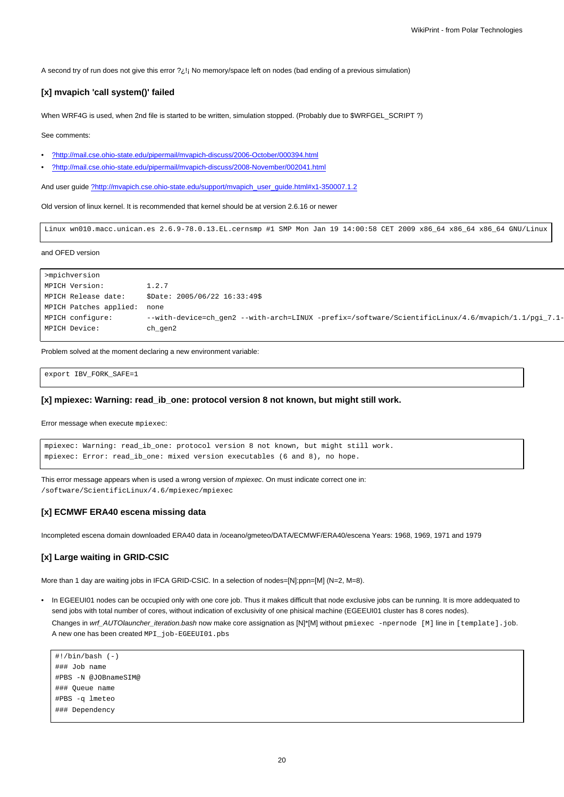A second try of run does not give this error ?¿!¡ No memory/space left on nodes (bad ending of a previous simulation)

#### **[x] mvapich 'call system()' failed**

When WRF4G is used, when 2nd file is started to be written, simulation stopped. (Probably due to \$WRFGEL\_SCRIPT ?)

See comments:

- [?http://mail.cse.ohio-state.edu/pipermail/mvapich-discuss/2006-October/000394.html](http://mail.cse.ohio-state.edu/pipermail/mvapich-discuss/2006-October/000394.html)
- [?http://mail.cse.ohio-state.edu/pipermail/mvapich-discuss/2008-November/002041.html](http://mail.cse.ohio-state.edu/pipermail/mvapich-discuss/2008-November/002041.html)

And user guide [?http://mvapich.cse.ohio-state.edu/support/mvapich\\_user\\_guide.html#x1-350007.1.2](http://mvapich.cse.ohio-state.edu/support/mvapich_user_guide.html#x1-350007.1.2)

Old version of linux kernel. It is recommended that kernel should be at version 2.6.16 or newer

Linux wn010.macc.unican.es 2.6.9-78.0.13.EL.cernsmp #1 SMP Mon Jan 19 14:00:58 CET 2009 x86\_64 x86\_64 x86\_64 GNU/Linux

and OFED version

```
>mpichversion
MPICH Version: 1.2.7
MPICH Release date: $Date: 2005/06/22 16:33:49$
MPICH Patches applied: none
MPICH configure: --with-device=ch_gen2 --with-arch=LINUX -prefix=/software/ScientificLinux/4.6/mvapich/1.1/pgi_7.1-
MPICH Device: ch_gen2
```
Problem solved at the moment declaring a new environment variable:

export IBV\_FORK\_SAFE=1

## **[x] mpiexec: Warning: read\_ib\_one: protocol version 8 not known, but might still work.**

Error message when execute mpiexec:

```
mpiexec: Warning: read_ib_one: protocol version 8 not known, but might still work.
mpiexec: Error: read_ib_one: mixed version executables (6 and 8), no hope.
```
This error message appears when is used a wrong version of *mpiexec*. On must indicate correct one in: /software/ScientificLinux/4.6/mpiexec/mpiexec

#### **[x] ECMWF ERA40 escena missing data**

Incompleted escena domain downloaded ERA40 data in /oceano/gmeteo/DATA/ECMWF/ERA40/escena Years: 1968, 1969, 1971 and 1979

## **[x] Large waiting in GRID-CSIC**

More than 1 day are waiting jobs in IFCA GRID-CSIC. In a selection of nodes=[N]:ppn=[M] (N=2, M=8).

• In EGEEUI01 nodes can be occupied only with one core job. Thus it makes difficult that node exclusive jobs can be running. It is more addequated to send jobs with total number of cores, without indication of exclusivity of one phisical machine (EGEEUI01 cluster has 8 cores nodes).

Changes in wrf\_AUTOlauncher\_iteration.bash now make core assignation as [N]\*[M] without pmiexec -npernode [M] line in [template].job. A new one has been created MPI\_job-EGEEUI01.pbs

```
#!/bin/bash (-)
### Job name
#PBS -N @JOBnameSIM@
### Queue name
#PBS -q lmeteo
### Dependency
```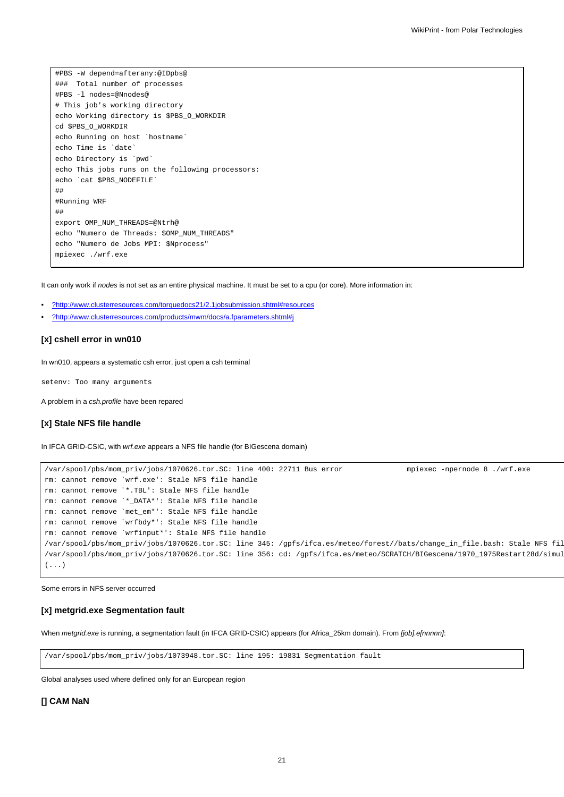#PBS -W depend=afterany:@IDpbs@ ### Total number of processes #PBS -l nodes=@Nnodes@ # This job's working directory echo Working directory is \$PBS\_O\_WORKDIR cd \$PBS\_O\_WORKDIR echo Running on host `hostname` echo Time is `date` echo Directory is `pwd` echo This jobs runs on the following processors: echo `cat \$PBS\_NODEFILE` ## #Running WRF ## export OMP\_NUM\_THREADS=@Ntrh@ echo "Numero de Threads: \$OMP\_NUM\_THREADS" echo "Numero de Jobs MPI: \$Nprocess" mpiexec ./wrf.exe

It can only work if nodes is not set as an entire physical machine. It must be set to a cpu (or core). More information in:

- [?http://www.clusterresources.com/torquedocs21/2.1jobsubmission.shtml#resources](http://www.clusterresources.com/torquedocs21/2.1jobsubmission.shtml#resources)
- [?http://www.clusterresources.com/products/mwm/docs/a.fparameters.shtml#j](http://www.clusterresources.com/products/mwm/docs/a.fparameters.shtml#j)

## **[x] cshell error in wn010**

In wn010, appears a systematic csh error, just open a csh terminal

setenv: Too many arguments

A problem in a csh.profile have been repared

#### **[x] Stale NFS file handle**

In IFCA GRID-CSIC, with *wrf.exe* appears a NFS file handle (for BIGescena domain)

```
/var/spool/pbs/mom_priv/jobs/1070626.tor.SC: line 400: 22711 Bus error mpiexec -npernode 8 ./wrf.exe
rm: cannot remove `wrf.exe': Stale NFS file handle
rm: cannot remove `*.TBL': Stale NFS file handle
rm: cannot remove `*_DATA*': Stale NFS file handle
rm: cannot remove `met_em*': Stale NFS file handle
rm: cannot remove `wrfbdy*': Stale NFS file handle
rm: cannot remove `wrfinput*': Stale NFS file handle
/var/spool/pbs/mom_priv/jobs/1070626.tor.SC: line 345: /gpfs/ifca.es/meteo/forest//bats/change_in_file.bash: Stale NFS fil
/var/spool/pbs/mom_priv/jobs/1070626.tor.SC: line 356: cd: /gpfs/ifca.es/meteo/SCRATCH/BIGescena/1970_1975Restart28d/simul
(...)
```
Some errors in NFS server occurred

#### **[x] metgrid.exe Segmentation fault**

When metgrid.exe is running, a segmentation fault (in IFCA GRID-CSIC) appears (for Africa\_25km domain). From [job].e[nnnnn]:

/var/spool/pbs/mom\_priv/jobs/1073948.tor.SC: line 195: 19831 Segmentation fault

Global analyses used where defined only for an European region

## **[] CAM NaN**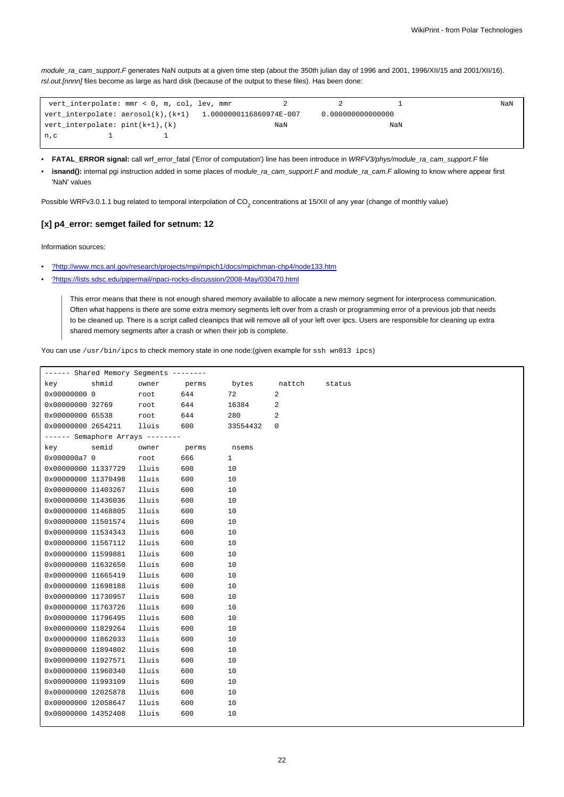module\_ra\_cam\_support.F generates NaN outputs at a given time step (about the 350th julian day of 1996 and 2001, 1996/XII/15 and 2001/XII/16). rsl.out.[nnnn] files become as large as hard disk (because of the output to these files). Has been done:

|                                        | vert interpolate: mmr < 0, m, col, lev, mmr |                                                                  |     |                   |     | NaN |
|----------------------------------------|---------------------------------------------|------------------------------------------------------------------|-----|-------------------|-----|-----|
|                                        |                                             | vert interpolate: $aerosol(k)$ , $(k+1)$ 1.0000000116860974E-007 |     | 0.000000000000000 |     |     |
| $vert\_interpolate: pint(k+1)$ , $(k)$ |                                             |                                                                  | NaN |                   | NaN |     |
| n, c                                   |                                             |                                                                  |     |                   |     |     |

- **FATAL\_ERROR signal:** call wrf\_error\_fatal ('Error of computation') line has been introduce in WRFV3/phys/module\_ra\_cam\_support.F file
- **isnand():** internal pgi instruction added in some places of module\_ra\_cam\_support.F and module\_ra\_cam.F allowing to know where appear first 'NaN' values

Possible WRFv3.0.1.1 bug related to temporal interpolation of CO<sub>2</sub> concentrations at 15/XII of any year (change of monthly value)

# **[x] p4\_error: semget failed for setnum: 12**

Information sources:

- [?http://www.mcs.anl.gov/research/projects/mpi/mpich1/docs/mpichman-chp4/node133.htm](http://www.mcs.anl.gov/research/projects/mpi/mpich1/docs/mpichman-chp4/node133.htm)
- [?https://lists.sdsc.edu/pipermail/npaci-rocks-discussion/2008-May/030470.html](https://lists.sdsc.edu/pipermail/npaci-rocks-discussion/2008-May/030470.html)

This error means that there is not enough shared memory available to allocate a new memory segment for interprocess communication. Often what happens is there are some extra memory segments left over from a crash or programming error of a previous job that needs to be cleaned up. There is a script called cleanipcs that will remove all of your left over ipcs. Users are responsible for cleaning up extra shared memory segments after a crash or when their job is complete.

You can use /usr/bin/ipcs to check memory state in one node:(given example for ssh wn013 ipcs)

| ------ Shared Memory Segments -------- |       |       |       |              |   |        |
|----------------------------------------|-------|-------|-------|--------------|---|--------|
| key                                    | shmid | owner | perms | bytes nattch |   | status |
| 0x00000000 0                           |       | root  | 644   | 72           | 2 |        |
| 0x00000000 32769                       |       | root  | 644   | 16384        | 2 |        |
| 0x00000000 65538                       |       | root  | 644   | 280          | 2 |        |
| 0x00000000 2654211                     |       | lluis | 600   | 33554432     | 0 |        |
| ------ Semaphore Arrays --------       |       |       |       |              |   |        |
| key                                    | semid | owner | perms | nsems        |   |        |
| 0x000000a7 0                           |       | root  | 666   | $\mathbf{1}$ |   |        |
| 0x00000000 11337729                    |       | lluis | 600   | 10           |   |        |
| 0x00000000 11370498                    |       | lluis | 600   | 10           |   |        |
| 0x00000000 11403267                    |       | lluis | 600   | 10           |   |        |
| 0x00000000 11436036                    |       | lluis | 600   | 10           |   |        |
| 0x00000000 11468805                    |       | lluis | 600   | 10           |   |        |
| 0x00000000 11501574                    |       | lluis | 600   | 10           |   |        |
| 0x00000000 11534343                    |       | lluis | 600   | 10           |   |        |
| 0x00000000 11567112                    |       | lluis | 600   | 10           |   |        |
| 0x00000000 11599881                    |       | lluis | 600   | 10           |   |        |
| 0x00000000 11632650                    |       | lluis | 600   | 10           |   |        |
| 0x00000000 11665419                    |       | lluis | 600   | 10           |   |        |
| 0x00000000 11698188                    |       | lluis | 600   | 10           |   |        |
| 0x00000000 11730957                    |       | lluis | 600   | 10           |   |        |
| 0x00000000 11763726                    |       | lluis | 600   | 10           |   |        |
| 0x00000000 11796495                    |       | lluis | 600   | 10           |   |        |
| 0x00000000 11829264                    |       | lluis | 600   | 10           |   |        |
| 0x00000000 11862033                    |       | lluis | 600   | 10           |   |        |
| 0x00000000 11894802                    |       | lluis | 600   | 10           |   |        |
| 0x00000000 11927571                    |       | lluis | 600   | 10           |   |        |
| 0x00000000 11960340                    |       | lluis | 600   | 10           |   |        |
| 0x00000000 11993109                    |       | lluis | 600   | 10           |   |        |
| 0x00000000 12025878                    |       | lluis | 600   | 10           |   |        |
| 0x00000000 12058647                    |       | lluis | 600   | 10           |   |        |
| 0x00000000 14352408                    |       | lluis | 600   | 10           |   |        |
|                                        |       |       |       |              |   |        |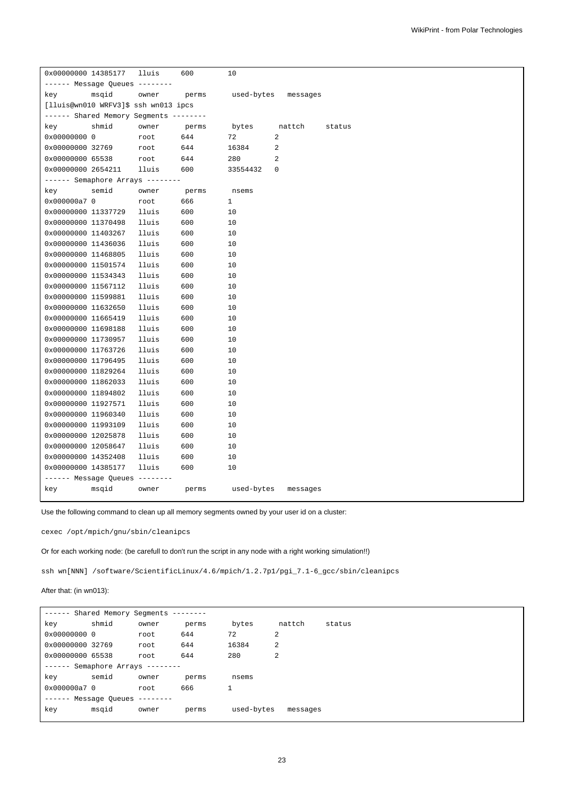| 0x00000000 14385177 |                                        | lluis | 600   | 10           |             |        |
|---------------------|----------------------------------------|-------|-------|--------------|-------------|--------|
|                     | ------ Message Queues --------         |       |       |              |             |        |
| key                 | msqid                                  | owner | perms | used-bytes   | messages    |        |
|                     | [lluis@wn010 WRFV3]\$ ssh wn013 ipcs   |       |       |              |             |        |
|                     | ------ Shared Memory Segments -------- |       |       |              |             |        |
| key                 | shmid                                  | owner | perms | bytes        | nattch      | status |
| 0x00000000 0        |                                        | root  | 644   | 72           | 2           |        |
| 0x00000000 32769    |                                        | root  | 644   | 16384        | 2           |        |
| 0x00000000 65538    |                                        | root  | 644   | 280          | 2           |        |
| 0x00000000 2654211  |                                        | lluis | 600   | 33554432     | $\mathbf 0$ |        |
|                     | ------ Semaphore Arrays --------       |       |       |              |             |        |
| key                 | semid                                  | owner | perms | nsems        |             |        |
| 0x000000a7 0        |                                        | root  | 666   | $\mathbf{1}$ |             |        |
| 0x00000000 11337729 |                                        | lluis | 600   | 10           |             |        |
| 0x00000000 11370498 |                                        | lluis | 600   | 10           |             |        |
| 0x00000000 11403267 |                                        | lluis | 600   | 10           |             |        |
| 0x00000000 11436036 |                                        | lluis | 600   | 10           |             |        |
| 0x00000000 11468805 |                                        | lluis | 600   | 10           |             |        |
| 0x00000000 11501574 |                                        | lluis | 600   | 10           |             |        |
| 0x00000000 11534343 |                                        | lluis | 600   | 10           |             |        |
| 0x00000000 11567112 |                                        | lluis | 600   | 10           |             |        |
| 0x00000000 11599881 |                                        | lluis | 600   | 10           |             |        |
| 0x00000000 11632650 |                                        | lluis | 600   | 10           |             |        |
| 0x00000000 11665419 |                                        | lluis | 600   | 10           |             |        |
| 0x00000000 11698188 |                                        | lluis | 600   | 10           |             |        |
| 0x00000000 11730957 |                                        | lluis | 600   | 10           |             |        |
| 0x00000000 11763726 |                                        | lluis | 600   | 10           |             |        |
| 0x00000000 11796495 |                                        | lluis | 600   | 10           |             |        |
| 0x00000000 11829264 |                                        | lluis | 600   | 10           |             |        |
| 0x00000000 11862033 |                                        | lluis | 600   | 10           |             |        |
| 0x00000000 11894802 |                                        | lluis | 600   | 10           |             |        |
| 0x00000000 11927571 |                                        | lluis | 600   | 10           |             |        |
| 0x00000000 11960340 |                                        | lluis | 600   | 10           |             |        |
| 0x00000000 11993109 |                                        | lluis | 600   | 10           |             |        |
| 0x00000000 12025878 |                                        | lluis | 600   | 10           |             |        |
| 0x00000000 12058647 |                                        | lluis | 600   | 10           |             |        |
| 0x00000000 14352408 |                                        | lluis | 600   | 10           |             |        |
| 0x00000000 14385177 |                                        | lluis | 600   | 10           |             |        |
|                     | ------ Message Queues --------         |       |       |              |             |        |
| key                 | msqid                                  | owner | perms | used-bytes   | messages    |        |
|                     |                                        |       |       |              |             |        |

Use the following command to clean up all memory segments owned by your user id on a cluster:

cexec /opt/mpich/gnu/sbin/cleanipcs

Or for each working node: (be carefull to don't run the script in any node with a right working simulation!!)

ssh wn[NNN] /software/ScientificLinux/4.6/mpich/1.2.7p1/pgi\_7.1-6\_gcc/sbin/cleanipcs

# After that: (in wn013):

| $- - - - - - -$  | Shared Memory Seqments           |           |       |            |          |        |
|------------------|----------------------------------|-----------|-------|------------|----------|--------|
| key              | shmid                            | owner     | perms | bytes      | nattch   | status |
| 0x00000000 0     |                                  | root      | 644   | 72         | 2        |        |
| 0x00000000 32769 |                                  | root      | 644   | 16384      | 2        |        |
| 0x00000000 65538 |                                  | root      | 644   | 280        | 2        |        |
|                  | $-----$ Semaphore Arrays $-----$ |           |       |            |          |        |
| key              | semid                            | owner     | perms | nsems      |          |        |
| 0x000000a7 0     |                                  | root      | 666   |            |          |        |
|                  | ------ Message Oueues            | --------- |       |            |          |        |
| key              | msqid                            | owner     | perms | used-bytes | messages |        |
|                  |                                  |           |       |            |          |        |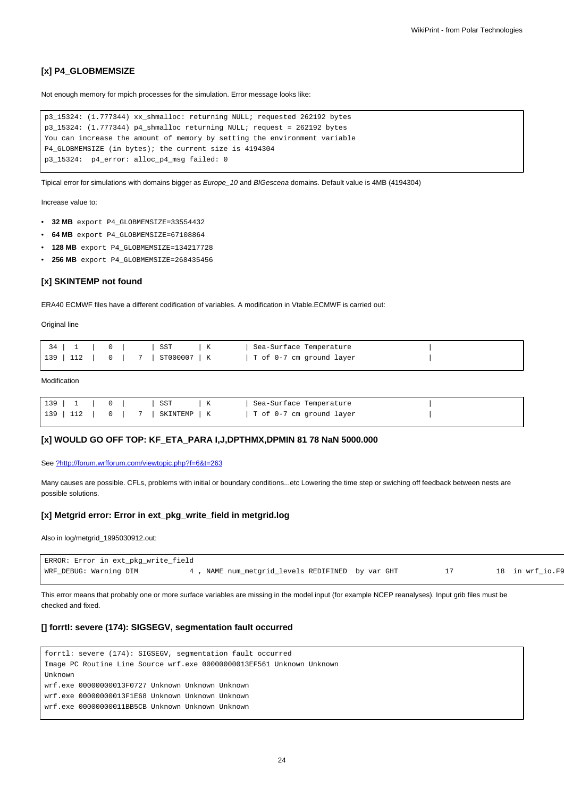## **[x] P4\_GLOBMEMSIZE**

Not enough memory for mpich processes for the simulation. Error message looks like:

```
p3_15324: (1.777344) xx_shmalloc: returning NULL; requested 262192 bytes
p3_15324: (1.777344) p4_shmalloc returning NULL; request = 262192 bytes
You can increase the amount of memory by setting the environment variable
P4_GLOBMEMSIZE (in bytes); the current size is 4194304
p3_15324: p4_error: alloc_p4_msg failed: 0
```
Tipical error for simulations with domains bigger as Europe\_10 and BIGescena domains. Default value is 4MB (4194304)

Increase value to:

- **32 MB** export P4\_GLOBMEMSIZE=33554432
- **64 MB** export P4\_GLOBMEMSIZE=67108864
- **128 MB** export P4\_GLOBMEMSIZE=134217728
- **256 MB** export P4\_GLOBMEMSIZE=268435456

#### **[x] SKINTEMP not found**

ERA40 ECMWF files have a different codification of variables. A modification in Vtable.ECMWF is carried out:

Original line

|  |                                  | Sea-Surface Temperature  |  |
|--|----------------------------------|--------------------------|--|
|  | 139   112   0   7   ST000007   K | T of 0-7 cm ground layer |  |

#### **Modification**

|  |  |  | 139   1   0     SST   K | Sea-Surface Temperature                                         |  |
|--|--|--|-------------------------|-----------------------------------------------------------------|--|
|  |  |  |                         | 139   112   $0$   $7$   SKINTEMP   K   T of 0-7 cm ground layer |  |

## **[x] WOULD GO OFF TOP: KF\_ETA\_PARA I,J,DPTHMX,DPMIN 81 78 NaN 5000.000**

See [?http://forum.wrfforum.com/viewtopic.php?f=6&t=263](http://forum.wrfforum.com/viewtopic.php?f=6&t=263)

Many causes are possible. CFLs, problems with initial or boundary conditions...etc Lowering the time step or swiching off feedback between nests are possible solutions.

#### **[x] Metgrid error: Error in ext\_pkg\_write\_field in metgrid.log**

Also in log/metgrid\_1995030912.out:

| ERROR: Error in ext_pkg_write_field |                                                |  |                 |
|-------------------------------------|------------------------------------------------|--|-----------------|
| WRF_DEBUG: Warning DIM              | , NAME num_metgrid_levels REDIFINED by var GHT |  | 18 in wrf io.F9 |

This error means that probably one or more surface variables are missing in the model input (for example NCEP reanalyses). Input grib files must be checked and fixed.

## **[] forrtl: severe (174): SIGSEGV, segmentation fault occurred**

```
forrtl: severe (174): SIGSEGV, segmentation fault occurred
Image PC Routine Line Source wrf.exe 00000000013EF561 Unknown Unknown
Unknown
wrf.exe 00000000013F0727 Unknown Unknown Unknown
wrf.exe 00000000013F1E68 Unknown Unknown Unknown
wrf.exe 00000000011BB5CB Unknown Unknown Unknown
```